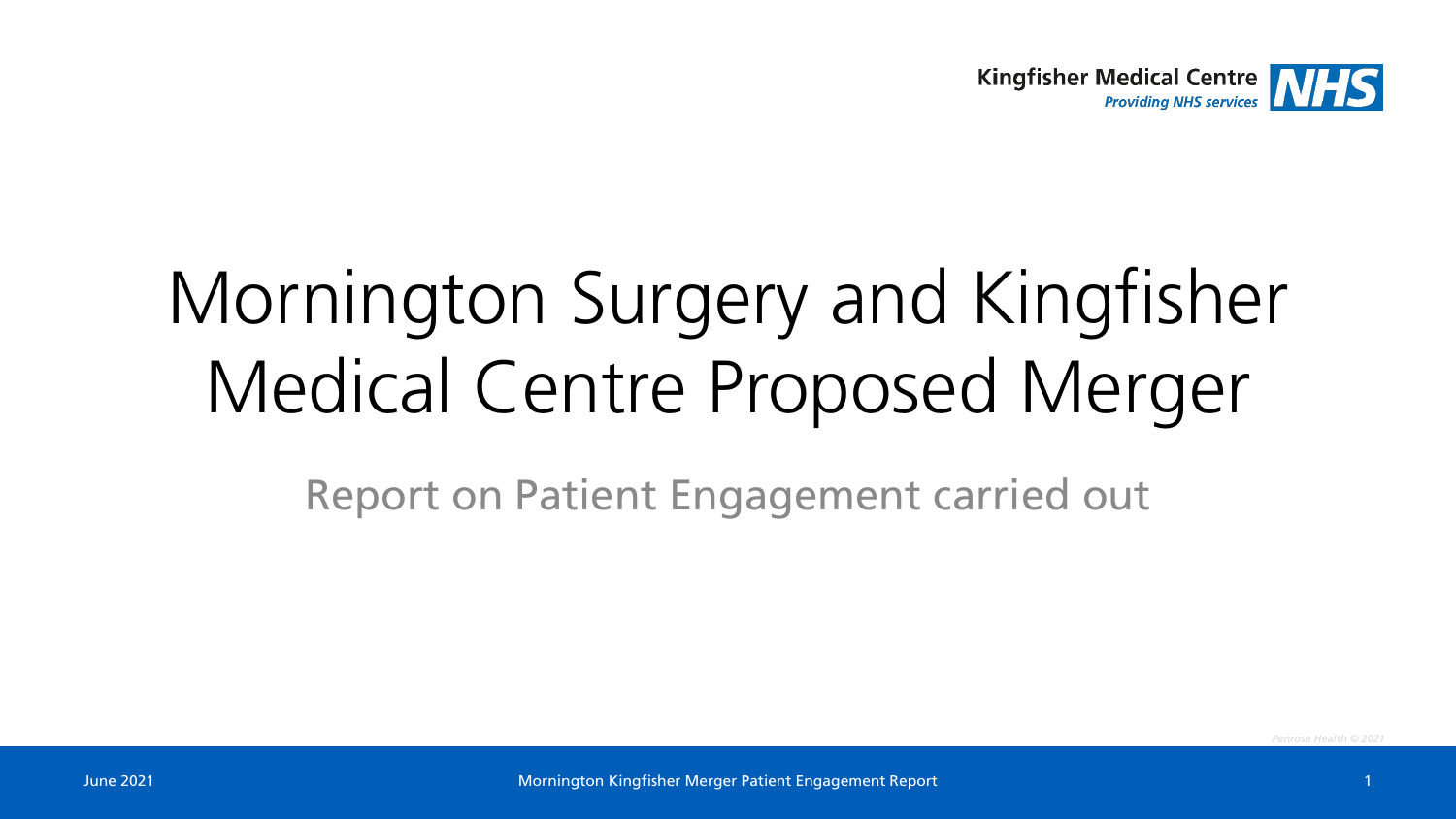

# Mornington Surgery and Kingfisher Medical Centre Proposed Merger

Report on Patient Engagement carried out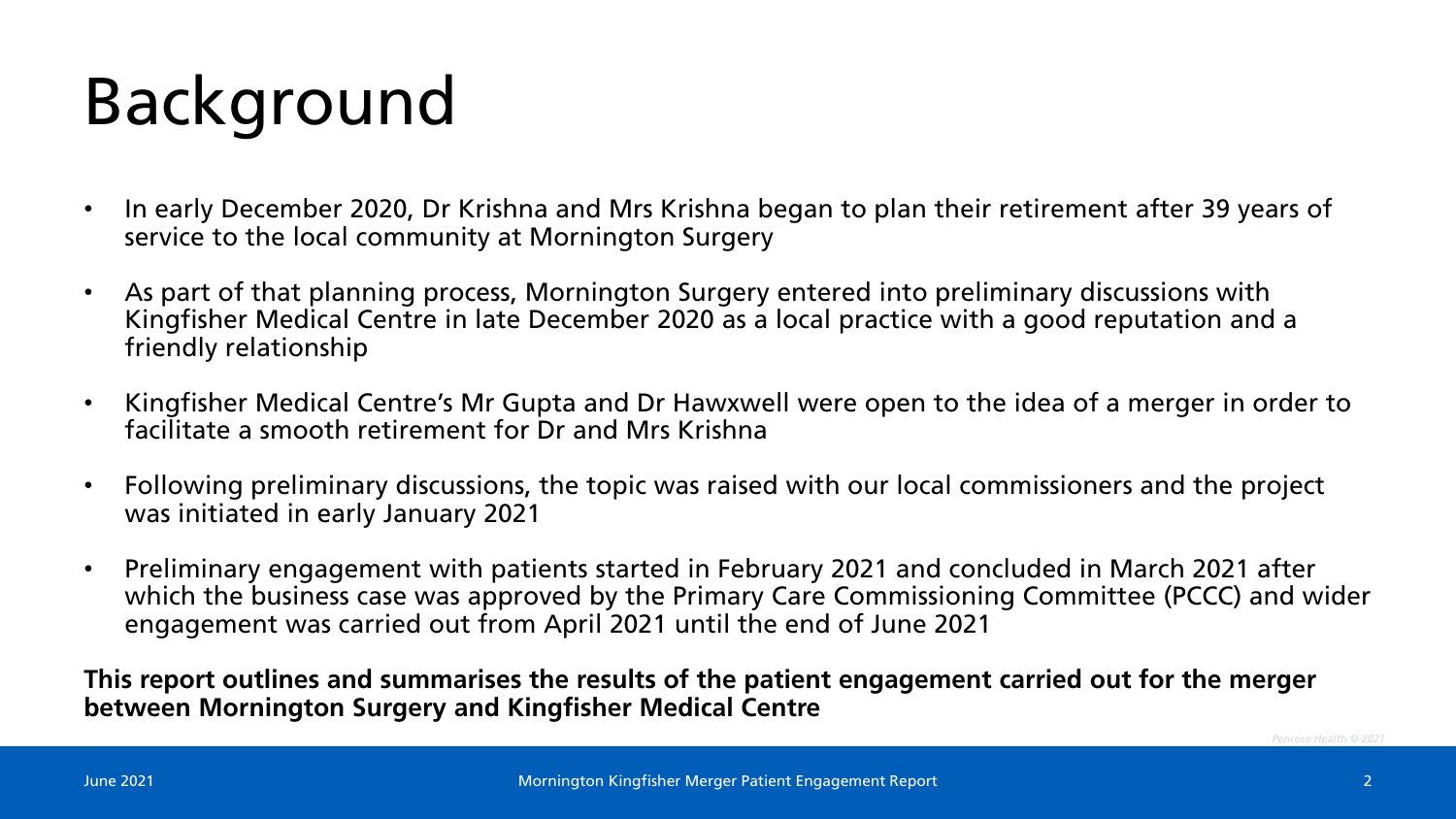# Background

- In early December 2020, Dr Krishna and Mrs Krishna began to plan their retirement after 39 years of service to the local community at Mornington Surgery
- As part of that planning process, Mornington Surgery entered into preliminary discussions with Kingfisher Medical Centre in late December 2020 as a local practice with a good reputation and a friendly relationship
- Kingfisher Medical Centre's Mr Gupta and Dr Hawxwell were open to the idea of a merger in order to facilitate a smooth retirement for Dr and Mrs Krishna
- Following preliminary discussions, the topic was raised with our local commissioners and the project was initiated in early January 2021
- Preliminary engagement with patients started in February 2021 and concluded in March 2021 after which the business case was approved by the Primary Care Commissioning Committee (PCCC) and wider engagement was carried out from April 2021 until the end of June 2021

**This report outlines and summarises the results of the patient engagement carried out for the merger between Mornington Surgery and Kingfisher Medical Centre**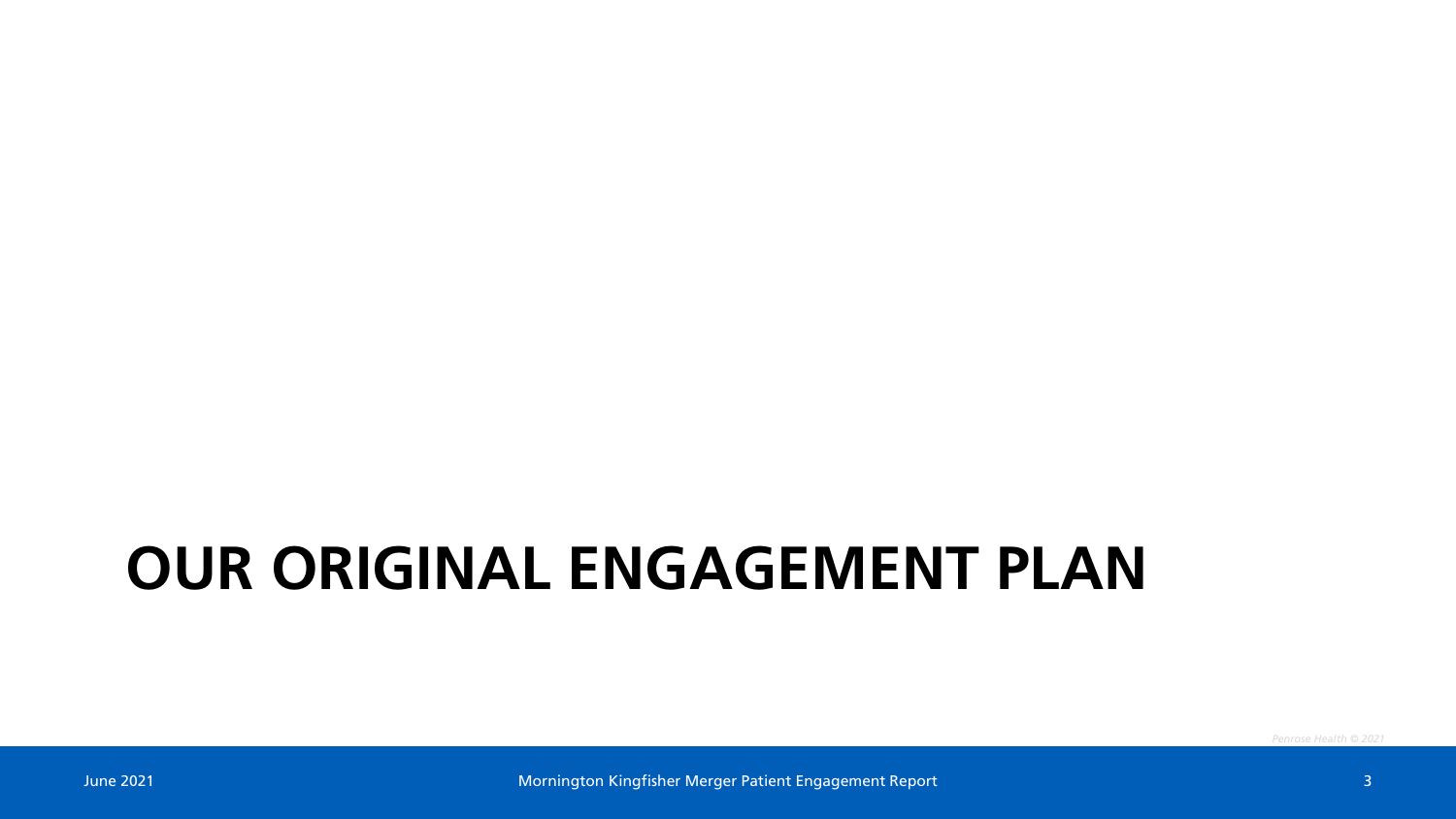#### **OUR ORIGINAL ENGAGEMENT PLAN**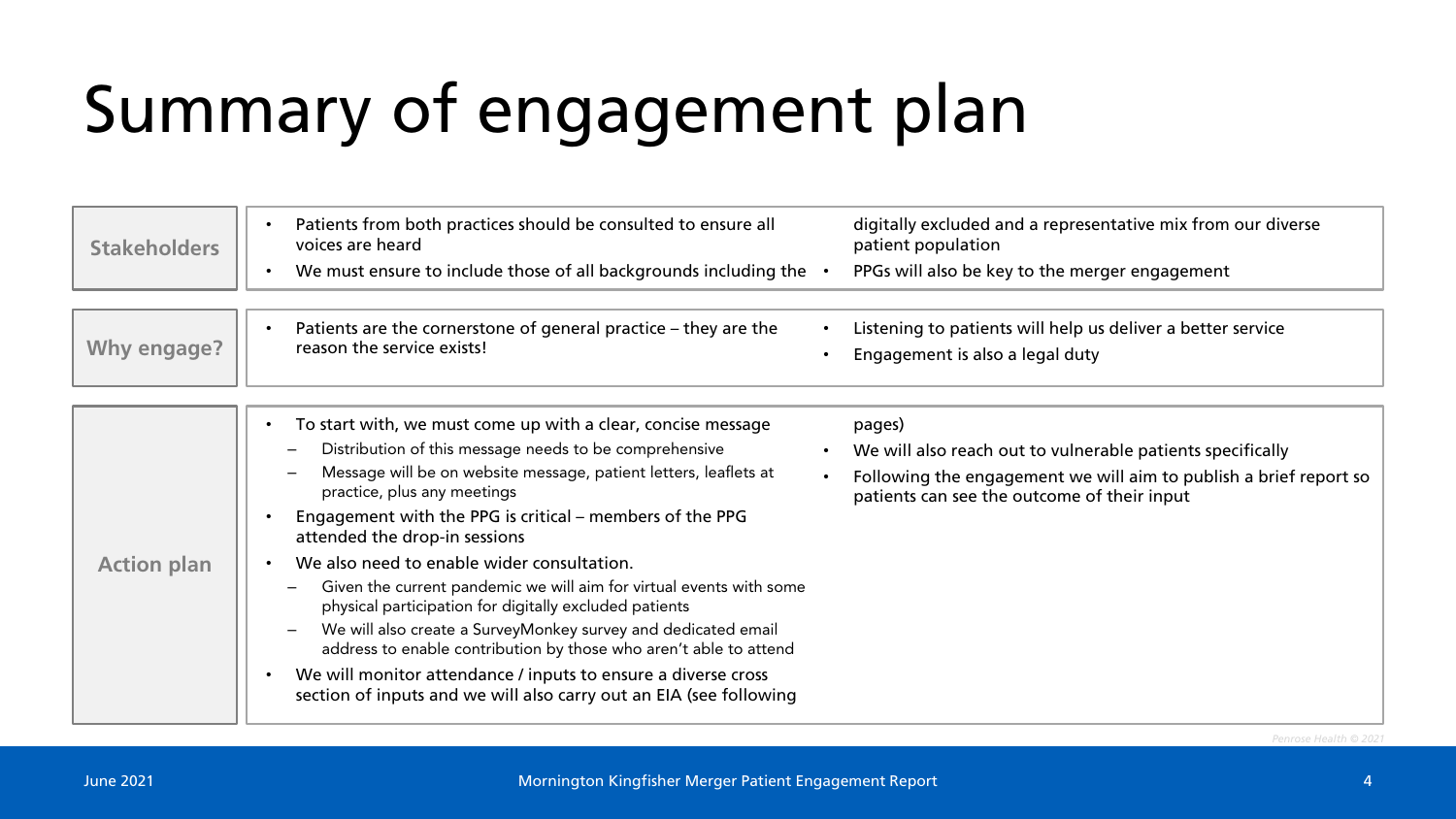# Summary of engagement plan

| <b>Stakeholders</b> | Patients from both practices should be consulted to ensure all<br>$\bullet$<br>voices are heard<br>We must ensure to include those of all backgrounds including the<br>$\bullet$                                                                                                                                                                                                                                                                                                                                                                                                                                                                                                                                                                                                                | digitally excluded and a representative mix from our diverse<br>patient population<br>PPGs will also be key to the merger engagement                                                     |
|---------------------|-------------------------------------------------------------------------------------------------------------------------------------------------------------------------------------------------------------------------------------------------------------------------------------------------------------------------------------------------------------------------------------------------------------------------------------------------------------------------------------------------------------------------------------------------------------------------------------------------------------------------------------------------------------------------------------------------------------------------------------------------------------------------------------------------|------------------------------------------------------------------------------------------------------------------------------------------------------------------------------------------|
| Why engage?         | Patients are the cornerstone of general practice - they are the<br>reason the service exists!                                                                                                                                                                                                                                                                                                                                                                                                                                                                                                                                                                                                                                                                                                   | Listening to patients will help us deliver a better service<br>Engagement is also a legal duty                                                                                           |
| <b>Action plan</b>  | To start with, we must come up with a clear, concise message<br>Distribution of this message needs to be comprehensive<br>Message will be on website message, patient letters, leaflets at<br>practice, plus any meetings<br>Engagement with the PPG is critical - members of the PPG<br>attended the drop-in sessions<br>We also need to enable wider consultation.<br>Given the current pandemic we will aim for virtual events with some<br>physical participation for digitally excluded patients<br>We will also create a SurveyMonkey survey and dedicated email<br>address to enable contribution by those who aren't able to attend<br>We will monitor attendance / inputs to ensure a diverse cross<br>$\bullet$<br>section of inputs and we will also carry out an EIA (see following | pages)<br>We will also reach out to vulnerable patients specifically<br>Following the engagement we will aim to publish a brief report so<br>patients can see the outcome of their input |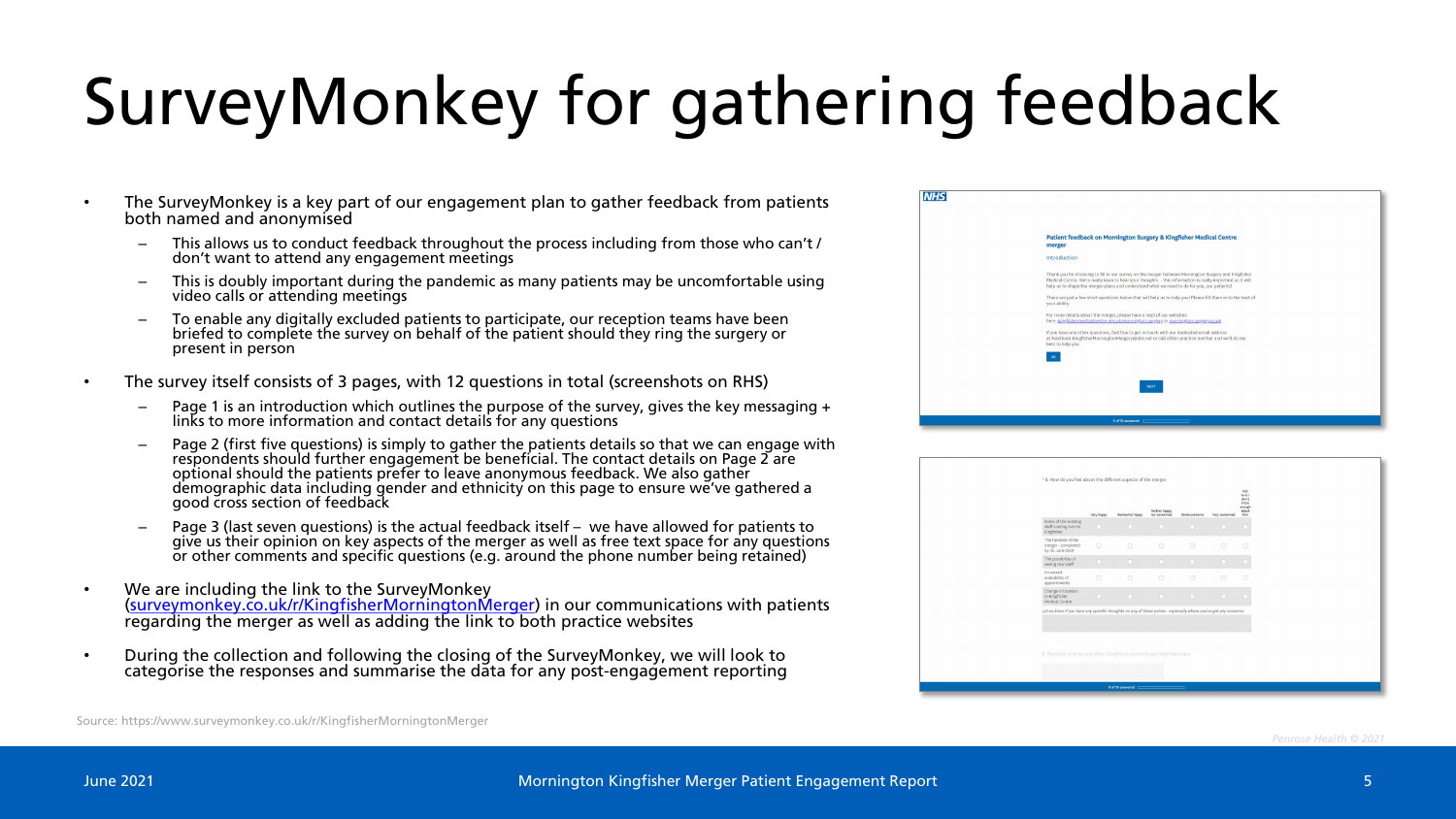# SurveyMonkey for gathering feedback

- The SurveyMonkey is a key part of our engagement plan to gather feedback from patients both named and anonymised
	- This allows us to conduct feedback throughout the process including from those who can't / don't want to attend any engagement meetings
	- This is doubly important during the pandemic as many patients may be uncomfortable using video calls or attending meetings
	- To enable any digitally excluded patients to participate, our reception teams have been briefed to complete the survey on behalf of the patient should they ring the surgery or present in person
- The survey itself consists of 3 pages, with 12 questions in total (screenshots on RHS)
	- Page 1 is an introduction which outlines the purpose of the survey, gives the key messaging  $+$ links to more information and contact details for any questions
	- Page 2 (first five questions) is simply to gather the patients details so that we can engage with respondents should further engagement be beneficial. The contact details on Page 2 are optional should the patients prefer to leave anonymous feedback. We also gather demographic data including gender and ethnicity on this page to ensure we've gathered a good cross section of feedback
	- Page 3 (last seven questions) is the actual feedback itself we have allowed for patients to give us their opinion on key aspects of the merger as well as free text space for any questions or other comments and specific questions (e.g. around the phone number being retained)
- We are including the link to the SurveyMonkey ([surveymonkey.co.uk/r/KingfisherMorningtonMerger\)](https://www.surveymonkey.co.uk/r/KingfisherMorningtonMerger) in our communications with patients regarding the merger as well as adding the link to both practice websites
- During the collection and following the closing of the SurveyMonkey, we will look to categorise the responses and summarise the data for any post-engagement reporting

| <b>NHS</b> |                                                                                                                                                                                                                                                                                                                 |
|------------|-----------------------------------------------------------------------------------------------------------------------------------------------------------------------------------------------------------------------------------------------------------------------------------------------------------------|
|            | Patient feedback on Mornington Surgery & Kingfisher Medical Centre<br>merger                                                                                                                                                                                                                                    |
|            | Introduction                                                                                                                                                                                                                                                                                                    |
|            | Thank you for choosing to fill in our survey on the merger between Mornington Surgery and Kingfisher<br>Medical Centre. We're really keen to hear your thoughts - this information is really important as it will<br>help us to shape the merger plans and understand what we need to do for you, our patients! |
|            | There are just a few short questions below that will help us to help you! Please fill them in to the best of<br>your ability.                                                                                                                                                                                   |
|            | For more details about the merger, please have a read of our websites<br>here: kingfishermedicalcentre.nhs.uk/mornington-surgery.or mornington-surgery.co.uk                                                                                                                                                    |
|            | If you have any other questions, feel free to get in touch with our dedicated email address<br>at Feedback.KingfisherMorningtonMergery@nhs.net or call either practice number and we'll do our<br>best to help you.                                                                                             |
|            |                                                                                                                                                                                                                                                                                                                 |
|            | <b>NEXT</b>                                                                                                                                                                                                                                                                                                     |
|            | 0 of 10 answered contact the contact of the contact of the contact of the contact of the contact of the contact of the contact of the contact of the contact of the contact of the contact of the contact of the contact of th                                                                                  |
|            |                                                                                                                                                                                                                                                                                                                 |

|                                                                                                                                                                                             | Very happy | Somewhat happy | Neither happy<br>nor concerned | Some concerns                          | Very concerned | sure /<br>den't<br>know<br>enough<br>about<br>ship. |
|---------------------------------------------------------------------------------------------------------------------------------------------------------------------------------------------|------------|----------------|--------------------------------|----------------------------------------|----------------|-----------------------------------------------------|
| Some of the existing<br>staff coming over to<br>Kingfisher                                                                                                                                  | $\circ$    | $\circ$        | $\circ$                        | $\circ$                                | $\circ$        |                                                     |
| The timeline of the<br>merger - completed<br>by 30 June 2021                                                                                                                                | $\circ$    | $\circ$        | $\circ$                        | $\circ$                                | $\odot$        | $\circ$                                             |
| The possibility of<br>seeing new staff                                                                                                                                                      | $\Omega$   | $\circ$        | $\circ$                        | $\bullet$                              | $\circ$        |                                                     |
| Increased<br>availability of<br>appointments                                                                                                                                                | $\circ$    | $\circ$        | $\circ$                        | $\circ$                                | $\odot$        | $\bigcirc$                                          |
| Change in location<br>to Kingfisher<br>Medical Centre                                                                                                                                       | $\circ$    | $\odot$        | $\bullet$                      | $\begin{array}{c} \bullet \end{array}$ | $\circ$        | n                                                   |
| Let us know if you have any specific thoughts on any of these points - especially where you've got any concerns<br>9. Please let us know any other thoughts or concerns you might have here |            |                |                                |                                        |                |                                                     |
|                                                                                                                                                                                             |            |                |                                |                                        |                |                                                     |

Source: https://www.surveymonkey.co.uk/r/KingfisherMorningtonMerger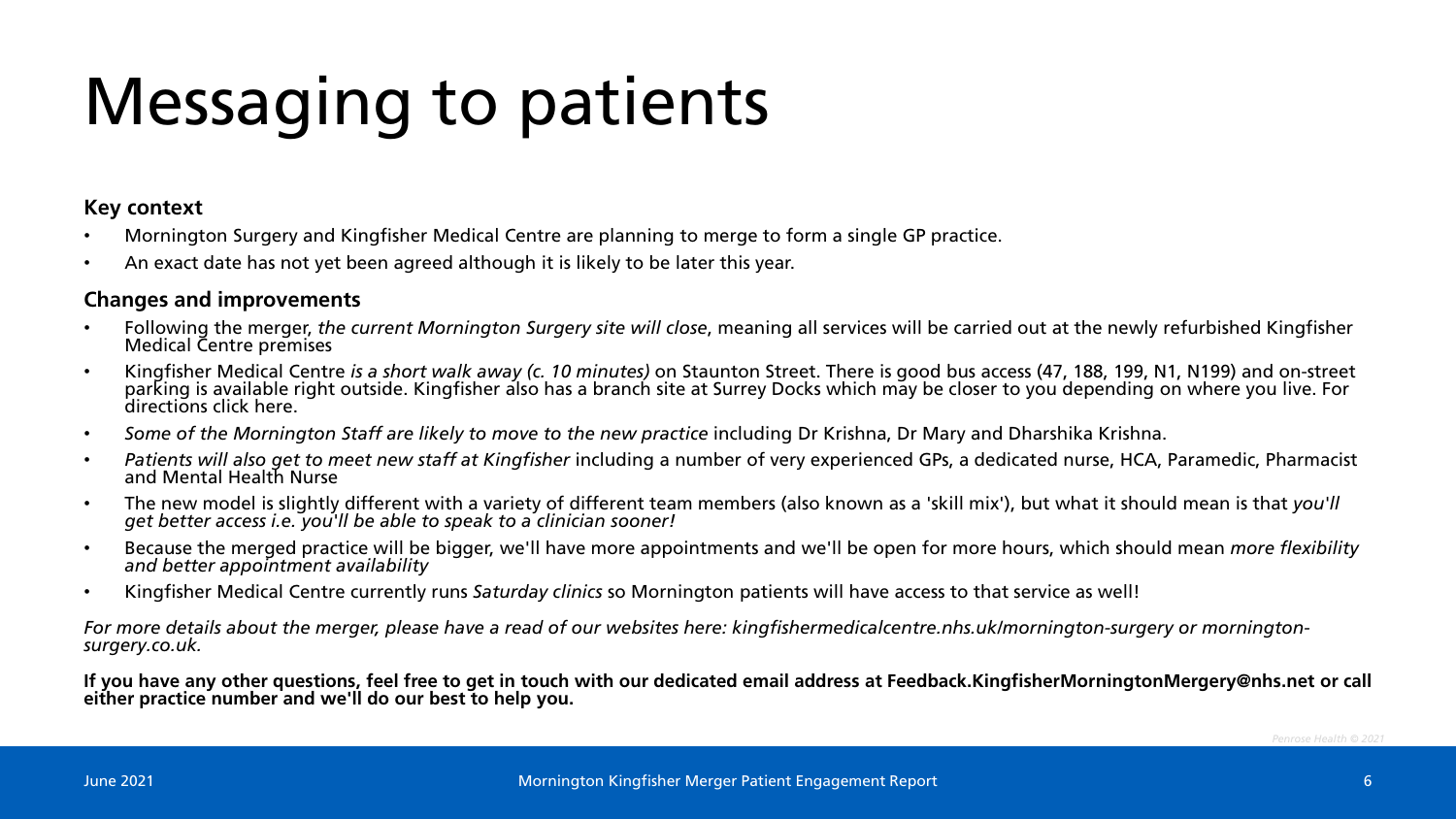# Messaging to patients

#### **Key context**

- Mornington Surgery and Kingfisher Medical Centre are planning to merge to form a single GP practice.
- An exact date has not yet been agreed although it is likely to be later this year.

#### **Changes and improvements**

- Following the merger, *the current Mornington Surgery site will close*, meaning all services will be carried out at the newly refurbished Kingfisher Medical Centre premises
- Kingfisher Medical Centre *is a short walk away (c. 10 minutes)* on Staunton Street. There is good bus access (47, 188, 199, N1, N199) and on-street parking is available right outside. Kingfisher also has a branch site at Surrey Docks which may be closer to you depending on where you live. For<br>directions click here.
- *Some of the Mornington Staff are likely to move to the new practice* including Dr Krishna, Dr Mary and Dharshika Krishna.
- *Patients will also get to meet new staff at Kingfisher* including a number of very experienced GPs, a dedicated nurse, HCA, Paramedic, Pharmacist and Mental Health Nurse
- The new model is slightly different with a variety of different team members (also known as a 'skill mix'), but what it should mean is that you'll get better access i.e. you'll be able to speak to a clinician sooner!
- Because the merged practice will be bigger, we'll have more appointments and we'll be open for more hours, which should mean *more flexibility* and better appointment availability and better appointment availability
- Kingfisher Medical Centre currently runs *Saturday clinics* so Mornington patients will have access to that service as well!

*For more details about the merger, please have a read of our websites here: kingfishermedicalcentre.nhs.uk/mornington-surgery or mornington- surgery.co.uk.* 

**If you have any other questions, feel free to get in touch with our dedicated email address at Feedback.KingfisherMorningtonMergery@nhs.net or call either practice number and we'll do our best to help you.**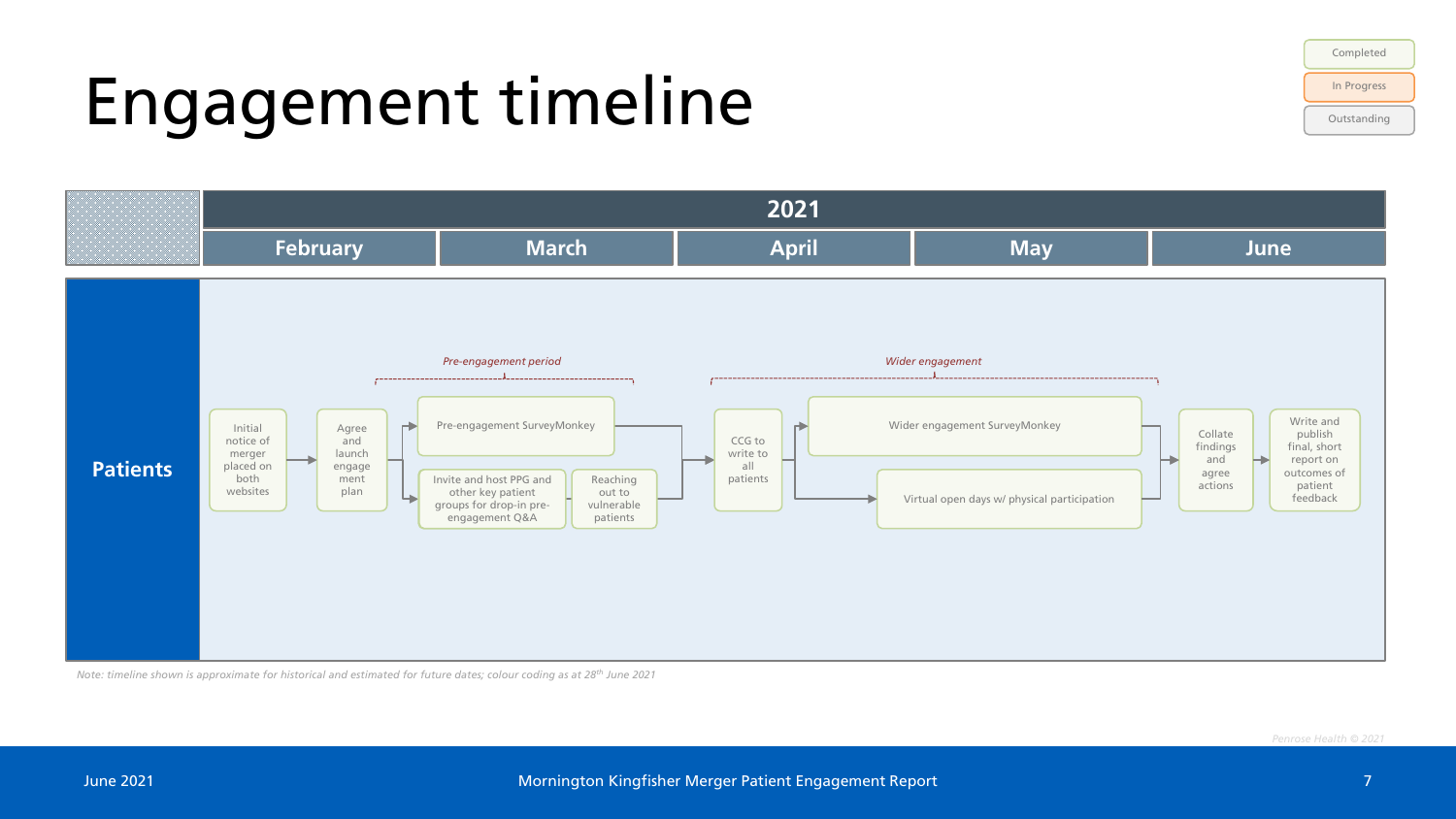# Engagement timeline





*Note: timeline shown is approximate for historical and estimated for future dates; colour coding as at 28th June 2021*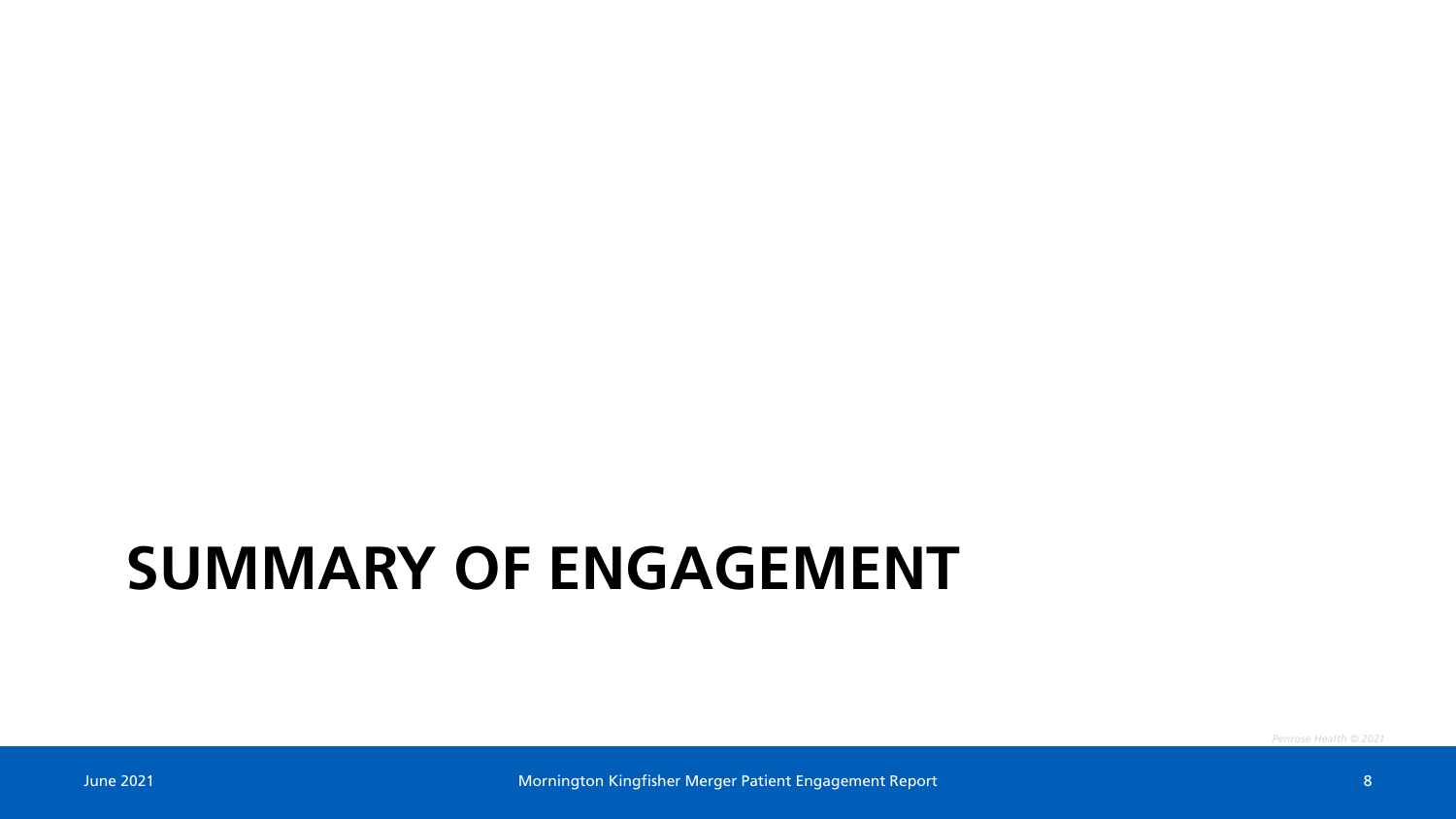#### **SUMMARY OF ENGAGEMENT**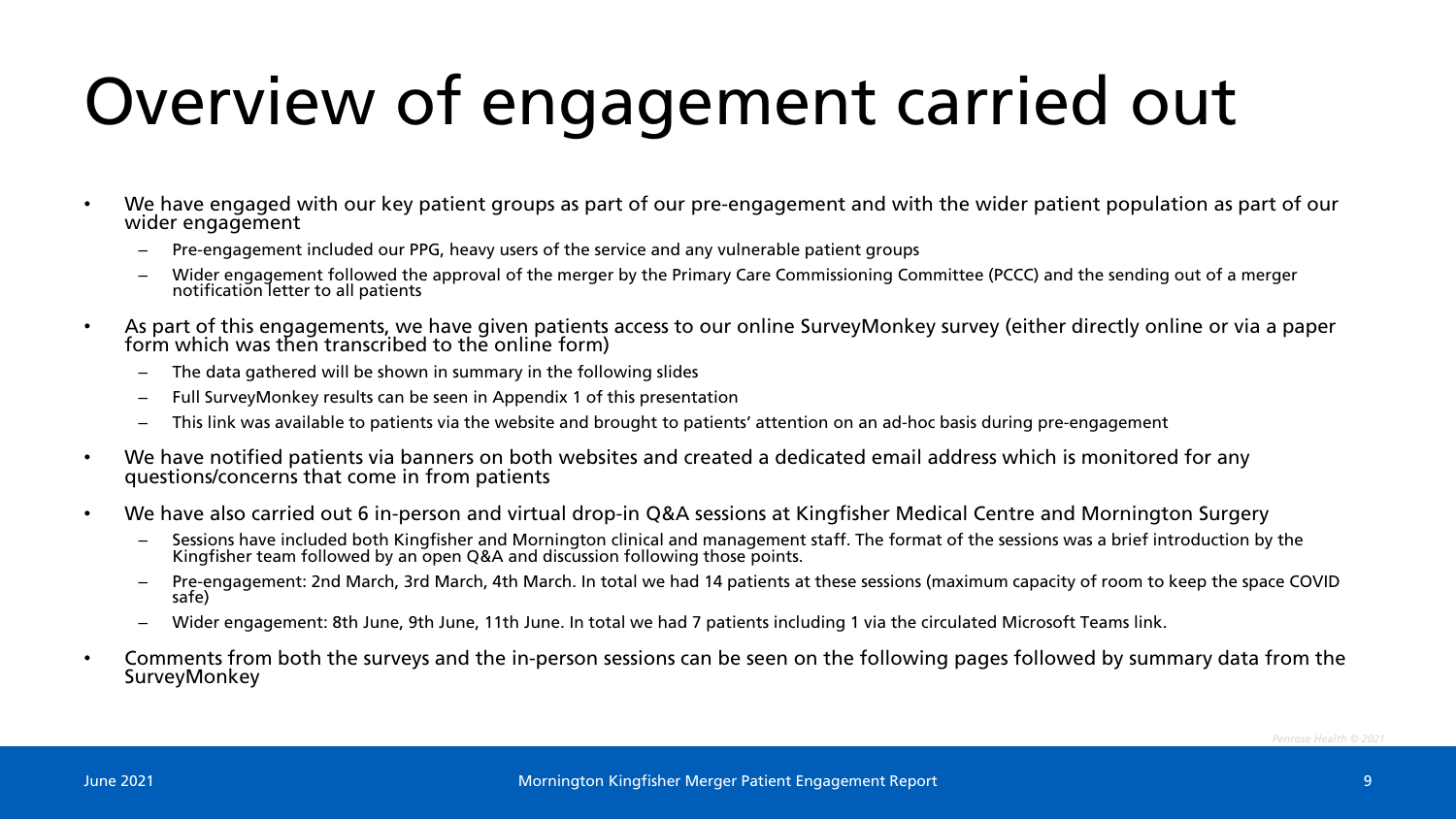# Overview of engagement carried out

- We have engaged with our key patient groups as part of our pre-engagement and with the wider patient population as part of our wider engagement
	- Pre-engagement included our PPG, heavy users of the service and any vulnerable patient groups
	- Wider engagement followed the approval of the merger by the Primary Care Commissioning Committee (PCCC) and the sending out of a merger notification letter to all patients
- As part of this engagements, we have given patients access to our online SurveyMonkey survey (either directly online or via a paper form which was then transcribed to the online form)
	- The data gathered will be shown in summary in the following slides
	- Full SurveyMonkey results can be seen in Appendix 1 of this presentation
	- This link was available to patients via the website and brought to patients' attention on an ad-hoc basis during pre-engagement
- We have notified patients via banners on both websites and created a dedicated email address which is monitored for any questions/concerns that come in from patients
- We have also carried out 6 in-person and virtual drop-in Q&A sessions at Kingfisher Medical Centre and Mornington Surgery
	- Sessions have included both Kingfisher and Mornington clinical and management staff. The format of the sessions was a brief introduction by the Kingfisher team followed by an open Q&A and discussion following those points.
	- Pre-engagement: 2nd March, 3rd March, 4th March. In total we had 14 patients at these sessions (maximum capacity of room to keep the space COVID safe)
	- Wider engagement: 8th June, 9th June, 11th June. In total we had 7 patients including 1 via the circulated Microsoft Teams link.
- Comments from both the surveys and the in-person sessions can be seen on the following pages followed by summary data from the SurveyMonkey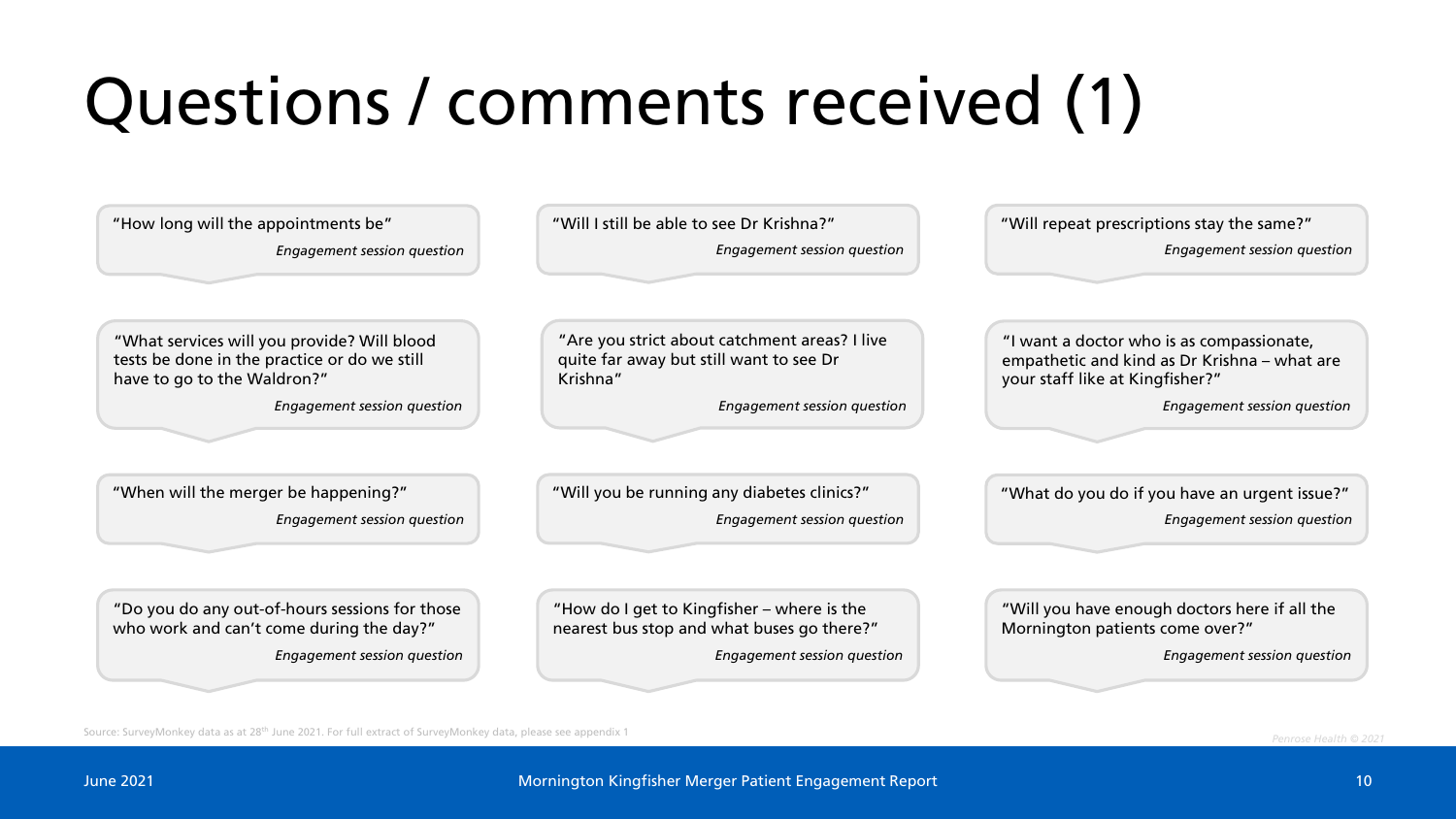# Questions / comments received (1)

| "How long will the appointments be"<br><b>Engagement session question</b>                                                  | "Will I still be able to see Dr Krishna?"<br>Engagement session question                             | "Will repeat prescriptions stay the same?"<br>Engagement session question                                                    |  |  |  |  |
|----------------------------------------------------------------------------------------------------------------------------|------------------------------------------------------------------------------------------------------|------------------------------------------------------------------------------------------------------------------------------|--|--|--|--|
| "What services will you provide? Will blood<br>tests be done in the practice or do we still<br>have to go to the Waldron?" | "Are you strict about catchment areas? I live<br>quite far away but still want to see Dr<br>Krishna" | "I want a doctor who is as compassionate,<br>empathetic and kind as Dr Krishna - what are<br>your staff like at Kingfisher?" |  |  |  |  |
| Engagement session question                                                                                                | Engagement session question                                                                          | Engagement session question                                                                                                  |  |  |  |  |
|                                                                                                                            |                                                                                                      |                                                                                                                              |  |  |  |  |
|                                                                                                                            |                                                                                                      |                                                                                                                              |  |  |  |  |
| "When will the merger be happening?"                                                                                       | "Will you be running any diabetes clinics?"                                                          | "What do you do if you have an urgent issue?"                                                                                |  |  |  |  |
| <b>Engagement session question</b>                                                                                         | <b>Engagement session question</b>                                                                   | Engagement session question                                                                                                  |  |  |  |  |
|                                                                                                                            |                                                                                                      |                                                                                                                              |  |  |  |  |
| "Do you do any out-of-hours sessions for those<br>who work and can't come during the day?"                                 | "How do I get to Kingfisher - where is the<br>nearest bus stop and what buses go there?"             | "Will you have enough doctors here if all the<br>Mornington patients come over?"                                             |  |  |  |  |

Source: SurveyMonkey data as at 28th June 2021. For full extract of SurveyMonkey data, please see appendix 1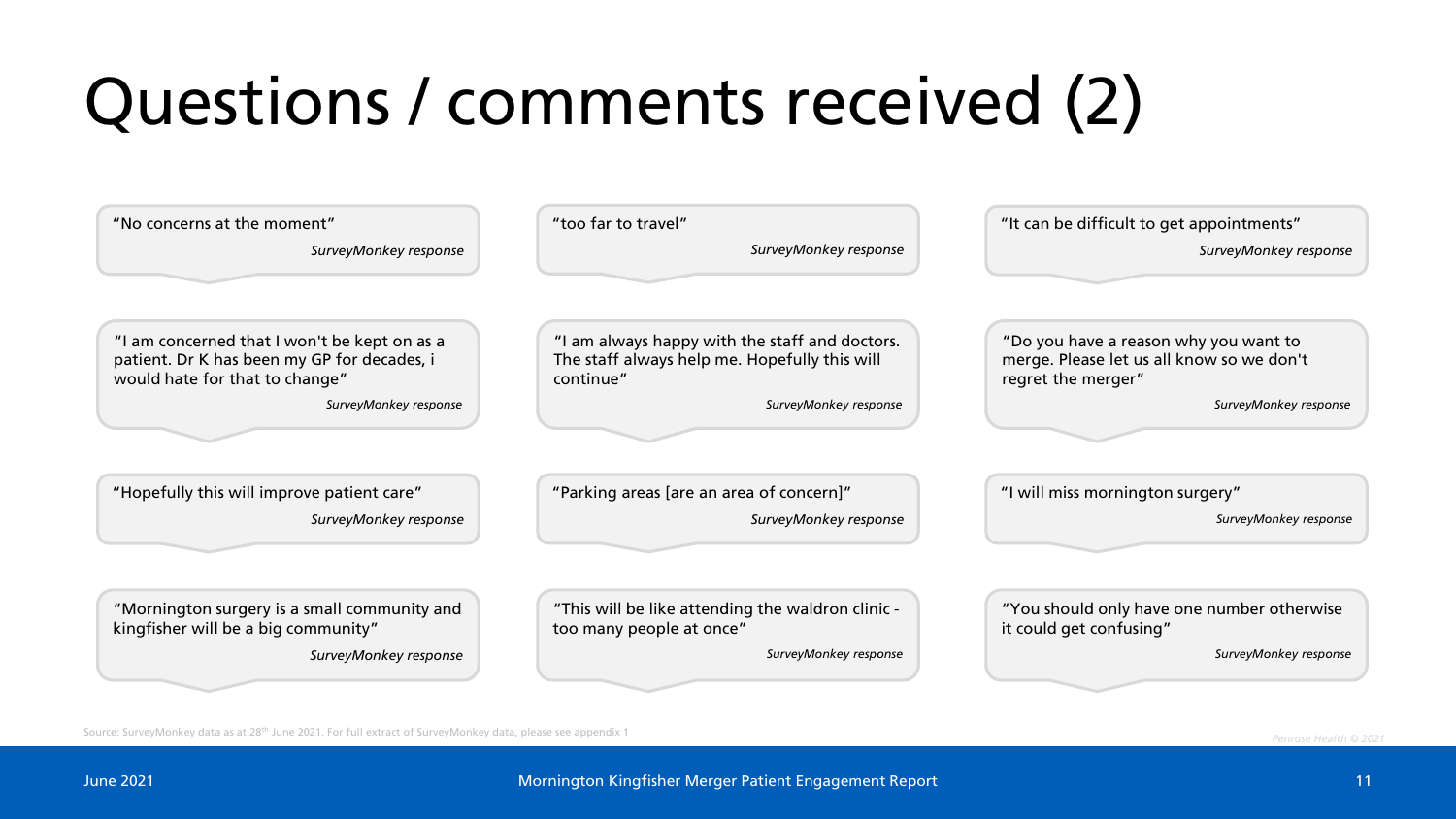# Questions / comments received (2)

| "No concerns at the moment"<br>SurveyMonkey response                                                                          | "too far to travel"<br>SurveyMonkey response                                                                 | "It can be difficult to get appointments"<br>SurveyMonkey response                                       |  |  |  |  |  |
|-------------------------------------------------------------------------------------------------------------------------------|--------------------------------------------------------------------------------------------------------------|----------------------------------------------------------------------------------------------------------|--|--|--|--|--|
| "I am concerned that I won't be kept on as a<br>patient. Dr K has been my GP for decades, i<br>would hate for that to change" | "I am always happy with the staff and doctors.<br>The staff always help me. Hopefully this will<br>continue" | "Do you have a reason why you want to<br>merge. Please let us all know so we don't<br>regret the merger" |  |  |  |  |  |
| SurveyMonkey response                                                                                                         | SurveyMonkey response                                                                                        | SurveyMonkey response                                                                                    |  |  |  |  |  |
|                                                                                                                               |                                                                                                              |                                                                                                          |  |  |  |  |  |
| "Hopefully this will improve patient care"                                                                                    | "Parking areas [are an area of concern]"                                                                     | "I will miss mornington surgery"                                                                         |  |  |  |  |  |
| SurveyMonkey response                                                                                                         | SurveyMonkey response                                                                                        | SurveyMonkey response                                                                                    |  |  |  |  |  |
|                                                                                                                               |                                                                                                              |                                                                                                          |  |  |  |  |  |
| "Mornington surgery is a small community and<br>kingfisher will be a big community"                                           | "This will be like attending the waldron clinic -<br>too many people at once"                                | "You should only have one number otherwise<br>it could get confusing"                                    |  |  |  |  |  |
| SurveyMonkey response                                                                                                         | SurveyMonkey response                                                                                        | SurveyMonkey response                                                                                    |  |  |  |  |  |
|                                                                                                                               |                                                                                                              |                                                                                                          |  |  |  |  |  |

Source: SurveyMonkey data as at 28th June 2021. For full extract of SurveyMonkey data, please see appendix 1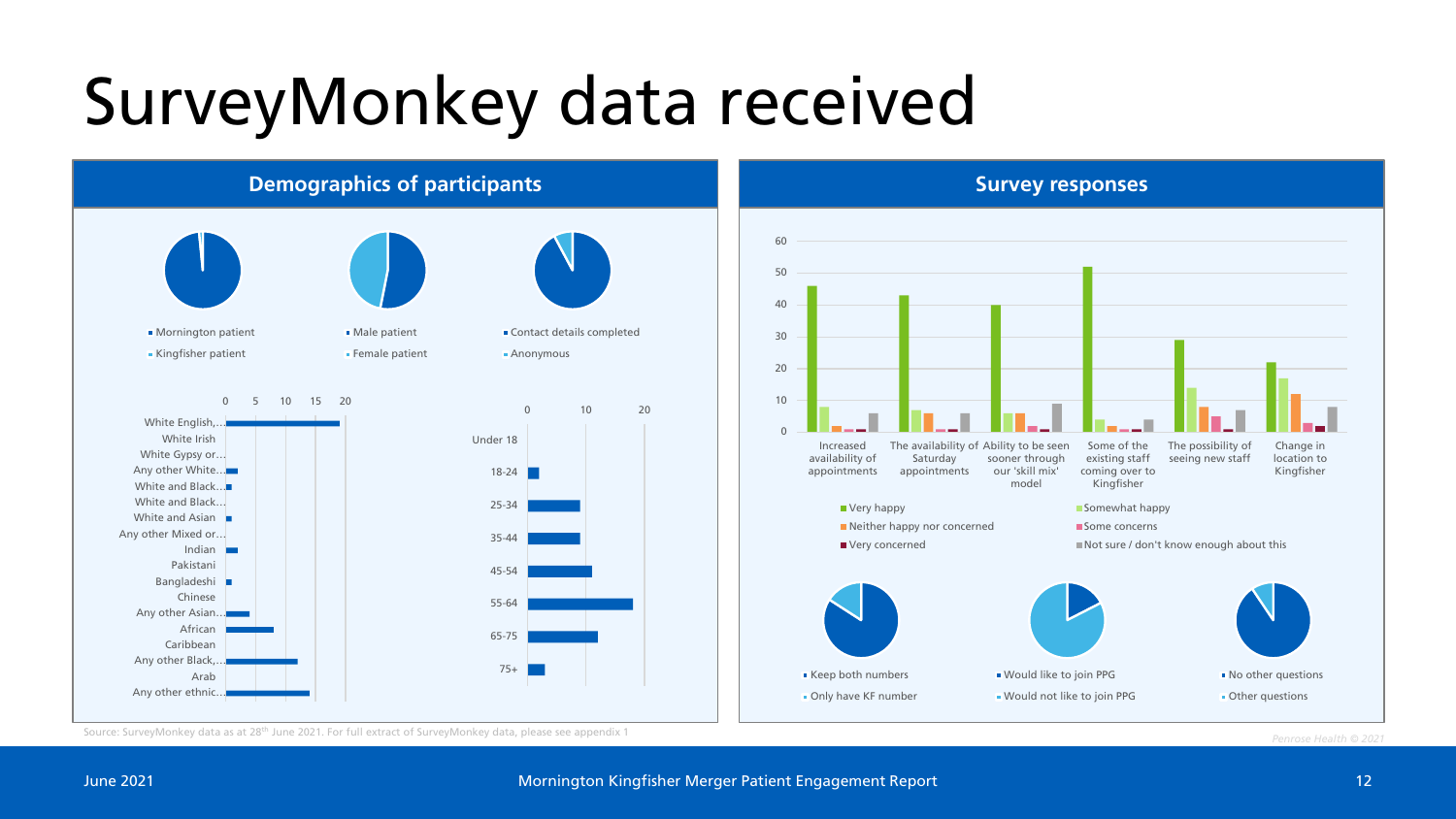#### SurveyMonkey data received



Source: SurveyMonkey data as at 28th June 2021. For full extract of SurveyMonkey data, please see appendix 1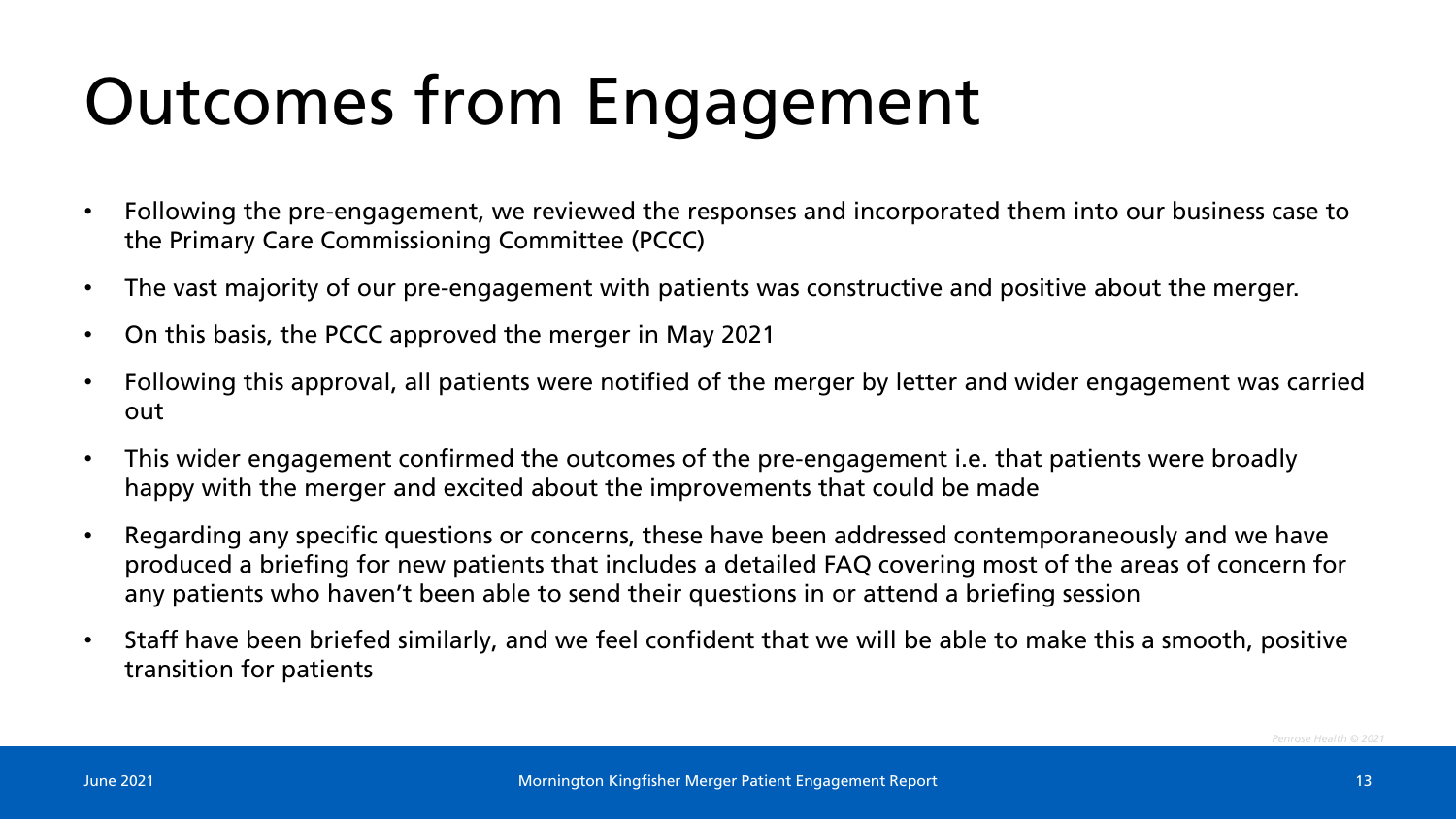### Outcomes from Engagement

- Following the pre-engagement, we reviewed the responses and incorporated them into our business case to the Primary Care Commissioning Committee (PCCC)
- The vast majority of our pre-engagement with patients was constructive and positive about the merger.
- On this basis, the PCCC approved the merger in May 2021
- Following this approval, all patients were notified of the merger by letter and wider engagement was carried out
- This wider engagement confirmed the outcomes of the pre-engagement i.e. that patients were broadly happy with the merger and excited about the improvements that could be made
- Regarding any specific questions or concerns, these have been addressed contemporaneously and we have produced a briefing for new patients that includes a detailed FAQ covering most of the areas of concern for any patients who haven't been able to send their questions in or attend a briefing session
- Staff have been briefed similarly, and we feel confident that we will be able to make this a smooth, positive transition for patients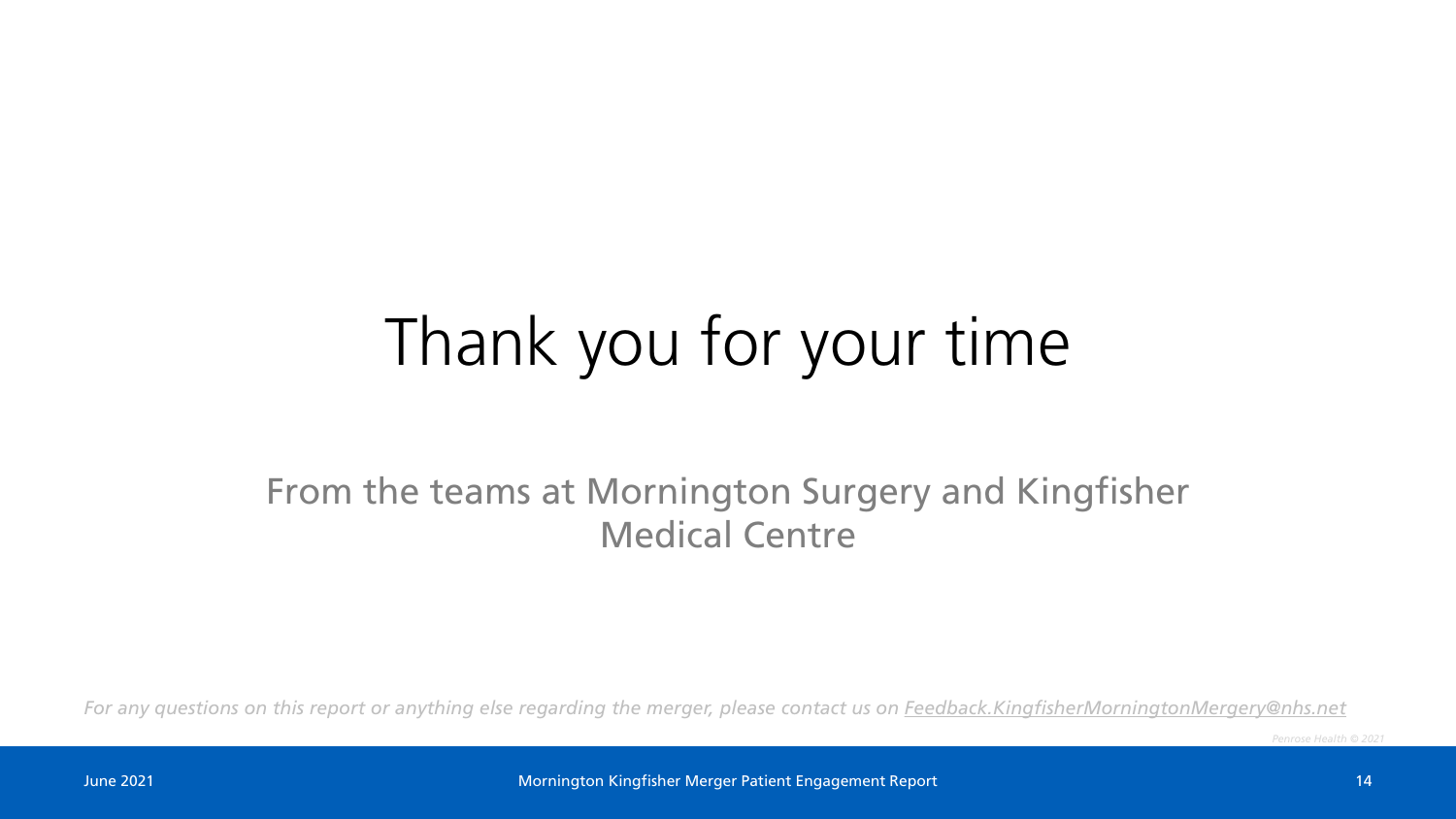#### Thank you for your time

#### From the teams at Mornington Surgery and Kingfisher Medical Centre

*For any questions on this report or anything else regarding the merger, please contact us on [Feedback.KingfisherMorningtonMergery@nhs.net](mailto:Feedback.KingfisherMorningtonMergery@nhs.net)*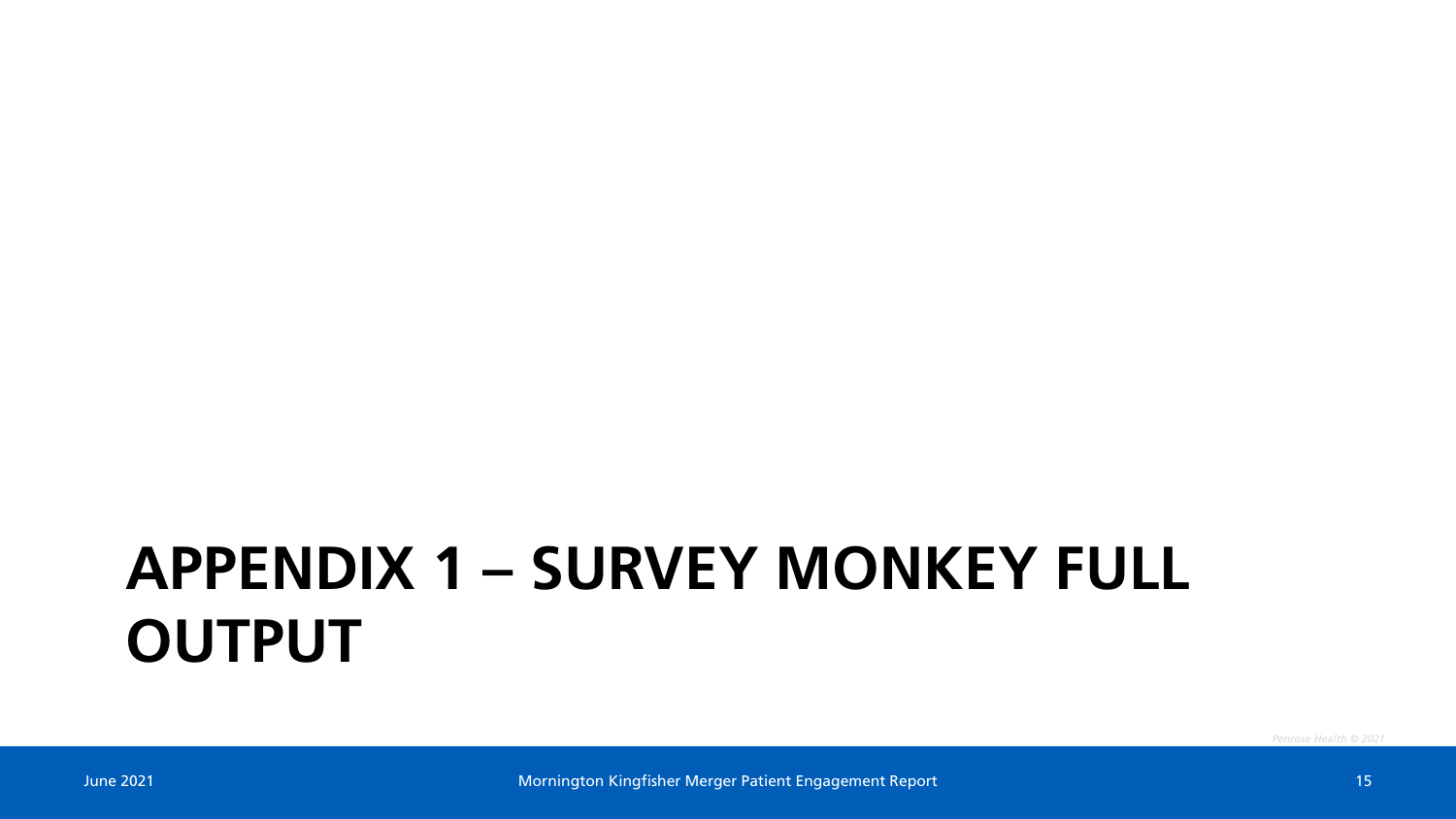#### **APPENDIX 1 – SURVEY MONKEY FULL OUTPUT**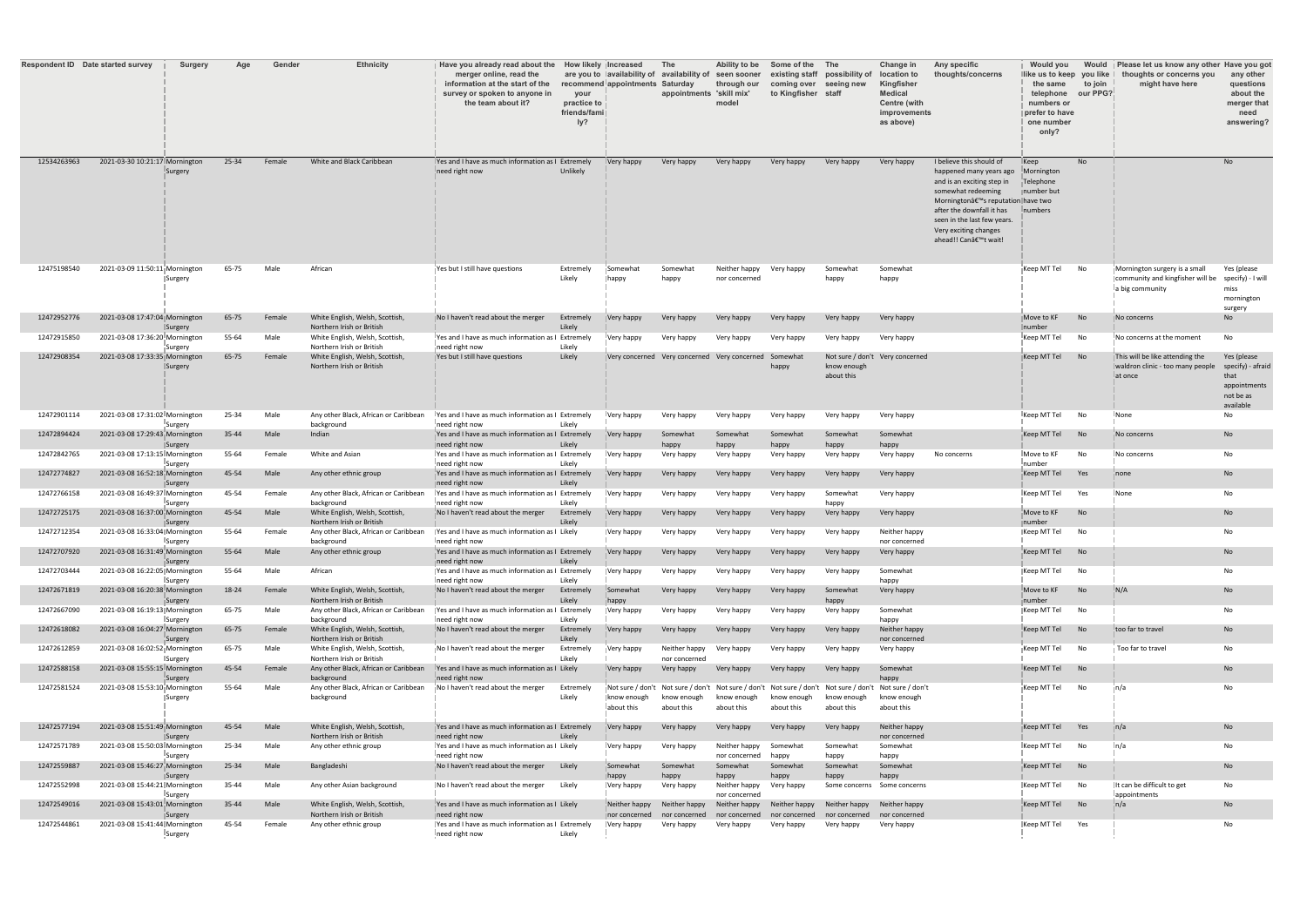|             | <b>Respondent ID</b> Date started survey | <b>Surgery</b>   | Age   | <b>Gender</b> | <b>Ethnicity</b>                                                   | Have you already read about the<br>merger online, read the<br>information at the start of the<br>survey or spoken to anyone in<br>the team about it? | your<br>practice to<br>friends/fami<br>ly? | How likely  Increased<br>recommend appointments | <b>The</b><br>are you to lavailability of availability of<br><b>Saturday</b><br>appointments 'skill mix' | Ability to be<br>seen sooner<br>through our<br>model | Some of the The<br>coming over seeing new<br>to Kingfisher staff | existing staff possibility of  | <b>Change in</b><br>location to<br>Kingfisher<br><b>Medical</b><br><b>Centre (with</b><br>improvements<br>as above) | Any specific<br>thoughts/concerns                                                                                                                                                                                                                                      | <b>Would you</b><br>llike us to keep you like<br>the same<br>telephone<br>numbers or<br>prefer to have<br>one number<br>only? | to join<br>our PPG? | Would Please let us know any other Have you got<br>thoughts or concerns you<br>might have here | any other<br>questions<br>about the<br>merger that<br>need<br>answering?           |
|-------------|------------------------------------------|------------------|-------|---------------|--------------------------------------------------------------------|------------------------------------------------------------------------------------------------------------------------------------------------------|--------------------------------------------|-------------------------------------------------|----------------------------------------------------------------------------------------------------------|------------------------------------------------------|------------------------------------------------------------------|--------------------------------|---------------------------------------------------------------------------------------------------------------------|------------------------------------------------------------------------------------------------------------------------------------------------------------------------------------------------------------------------------------------------------------------------|-------------------------------------------------------------------------------------------------------------------------------|---------------------|------------------------------------------------------------------------------------------------|------------------------------------------------------------------------------------|
| 12534263963 | 2021-03-30 10:21:17 Mornington           | ¦Surgery         | 25-34 | Female        | White and Black Caribbean                                          | I Yes and I have as much information as I Extremely<br>need right now                                                                                | Unlikely                                   | Very happy                                      | Very happy                                                                                               | Very happy                                           | Very happy                                                       | Very happy                     | Very happy                                                                                                          | I believe this should of<br>happened many years ago<br>and is an exciting step in<br>somewhat redeeming<br>Morningtonâ€ <sup>™</sup> s reputation have two<br>after the downfall it has<br>seen in the last few years.<br>Very exciting changes<br>ahead!! Can't wait! | $\mathsf{Keep}$<br>Mornington<br>Telephone<br>∥number but<br>Inumbers                                                         | <b>No</b>           |                                                                                                | <b>No</b>                                                                          |
| 12475198540 | 2021-03-09 11:50:11 Mornington           | ∥Surgery         | 65-75 | Male          | African                                                            | Yes but I still have questions                                                                                                                       | Extremely<br>Likely                        | Somewhat<br>$ $ happy                           | Somewhat<br>happy                                                                                        | Neither happy<br>nor concerned                       | Very happy                                                       | Somewhat<br>happy              | Somewhat<br>happy                                                                                                   |                                                                                                                                                                                                                                                                        | $\overline{\parallel}$ Keep MT Tel                                                                                            | <b>No</b>           | Mornington surgery is a small<br>community and kingfisher will be<br>la big community          | Yes (please<br>specify) - I will<br>miss<br>mornington<br>surgery                  |
| 12472952776 | 2021-03-08 17:47:04 Mornington           | <b>Surgery</b>   | 65-75 | Female        | White English, Welsh, Scottish,<br>Northern Irish or British       | No I haven't read about the merger                                                                                                                   | Extremely<br>Likely                        | Very happy                                      | Very happy                                                                                               | Very happy                                           | Very happy                                                       | Very happy                     | Very happy                                                                                                          |                                                                                                                                                                                                                                                                        | Move to KF<br>Inumber                                                                                                         | No                  | No concerns                                                                                    | No                                                                                 |
| 12472915850 | 2021-03-08 17:36:20 Morningtor           | ¦Surgery         | 55-64 | Male          | White English, Welsh, Scottish,<br>Northern Irish or British       | Ves and I have as much information as I Extremely<br>need right now                                                                                  | Likely                                     | Very happy                                      | Very happy                                                                                               | Very happy                                           | Very happy                                                       | Very happy                     | Very happy                                                                                                          |                                                                                                                                                                                                                                                                        | Keep MT Tel                                                                                                                   | No                  | No concerns at the moment                                                                      | No                                                                                 |
| 12472908354 | 2021-03-08 17:33:35 Mornington           | <b>Surgery</b>   | 65-75 | Female        | White English, Welsh, Scottish,<br>Northern Irish or British       | Yes but I still have questions                                                                                                                       | Likely                                     |                                                 | Very concerned Very concerned Very concerned Somewhat                                                    |                                                      | happy                                                            | know enough<br>about this      | Not sure / don't Very concerned                                                                                     |                                                                                                                                                                                                                                                                        | Keep MT Tel                                                                                                                   |                     | This will be like attending the<br>waldron clinic - too many people<br>‼at once                | Yes (please<br>specify) - afraid<br>that<br>appointments<br>not be as<br>available |
| 12472901114 | 2021-03-08 17:31:02 Morningtor           | Surgery          | 25-34 | Male          | Any other Black, African or Caribbean<br>background                | I Yes and I have as much information as I Extremely<br>need right now                                                                                | Likely                                     | Very happy                                      | Very happy                                                                                               | Very happy                                           | Very happy                                                       | Very happy                     | Very happy                                                                                                          |                                                                                                                                                                                                                                                                        | $\sf I$ Keep MT Tel                                                                                                           | No                  | <b>None</b>                                                                                    | No                                                                                 |
| 12472894424 | 2021-03-08 17:29:43 Mornington           | <b>Surgery</b>   | 35-44 | Male          | Indian                                                             | Yes and I have as much information as I Extremely<br>need right now                                                                                  | Likely                                     | Very happy                                      | Somewhat<br>happy                                                                                        | Somewhat<br>happy                                    | Somewhat<br>happy                                                | Somewhat<br>happy              | Somewhat<br>happy                                                                                                   |                                                                                                                                                                                                                                                                        | $\overline{\phantom{a}}$ Keep MT Tel                                                                                          | <b>No</b>           | No concerns                                                                                    | <b>No</b>                                                                          |
| 12472842765 | 2021-03-08 17:13:15 Morningtor           | Surgery          | 55-64 | Female        | White and Asian                                                    | IYes and I have as much information as I Extremely<br>need right now                                                                                 | Likely                                     | Very happy                                      | Very happy                                                                                               | Very happy                                           | Very happy                                                       | Very happy                     | Very happy                                                                                                          | No concerns                                                                                                                                                                                                                                                            | Move to KF<br>number                                                                                                          | No                  | <b>No concerns</b>                                                                             | No                                                                                 |
| 12472774827 | 2021-03-08 16:52:18 Morningtor           | <b>∣</b> Surgery | 45-54 | Male          | Any other ethnic group                                             | Yes and I have as much information as I Extremely<br>need right now                                                                                  | Likely                                     | Very happy                                      | Very happy                                                                                               | Very happy                                           | Very happy                                                       | Very happy                     | Very happy                                                                                                          |                                                                                                                                                                                                                                                                        | Keep MT Tel                                                                                                                   | Yes                 | $\overline{\parallel}$ none                                                                    | No                                                                                 |
| 12472766158 | 2021-03-08 16:49:37 Mornington           | ‼Surgery         | 45-54 | Female        | Any other Black, African or Caribbear<br>background                | IYes and I have as much information as I Extremely<br>need right now                                                                                 | Likely                                     | <b>Very happy</b>                               | Very happy                                                                                               | Very happy                                           | Very happy                                                       | Somewhat<br>happy              | Very happy                                                                                                          |                                                                                                                                                                                                                                                                        | Keep MT Tel                                                                                                                   | Yes                 | <b>None</b>                                                                                    | No                                                                                 |
| 12472725175 | 2021-03-08 16:37:00 Mornington           | <b>Surgery</b>   | 45-54 | Male          | White English, Welsh, Scottish,<br>Northern Irish or British       | No I haven't read about the merger                                                                                                                   | Extremely<br>Likely                        | Very happy                                      | Very happy                                                                                               | Very happy                                           | Very happy                                                       | Very happy                     | Very happy                                                                                                          |                                                                                                                                                                                                                                                                        | Move to KF<br><i>i</i> number                                                                                                 | No                  |                                                                                                | No                                                                                 |
| 12472712354 | 2021-03-08 16:33:04 Morningtor           | <b>Surgery</b>   | 55-64 | Female        | Any other Black, African or Caribbear<br>background                | Yes and I have as much information as I Likely<br>Ineed right now                                                                                    |                                            | Very happy                                      | Very happy                                                                                               | Very happy                                           | Very happy                                                       | Very happy                     | Neither happy<br>nor concerned                                                                                      |                                                                                                                                                                                                                                                                        | Keep MT Tel                                                                                                                   | No                  |                                                                                                | No                                                                                 |
| 12472707920 | 2021-03-08 16:31:49 Mornington           |                  | 55-64 | Male          | Any other ethnic group                                             | Yes and I have as much information as I Extremely<br>need right now                                                                                  | Likely                                     | Very happy                                      | Very happy                                                                                               | Very happy                                           | Very happy                                                       | Very happy                     | Very happy                                                                                                          |                                                                                                                                                                                                                                                                        | $\sqrt{\frac{1}{2}}$ Keep MT Tel No                                                                                           |                     |                                                                                                | No                                                                                 |
| 12472703444 | 2021-03-08 16:22:05 Morningtor           | Surgery          | 55-64 | Male          | African                                                            | IYes and I have as much information as I Extremely                                                                                                   |                                            | Very happy                                      | Very happy                                                                                               | Very happy                                           | Very happy                                                       | Very happy                     | Somewhat                                                                                                            |                                                                                                                                                                                                                                                                        | Keep MT Tel                                                                                                                   | No.                 |                                                                                                | No                                                                                 |
| 12472671819 | 2021-03-08 16:20:38 Mornington           | <b>Surgery</b>   | 18-24 | Female        | White English, Welsh, Scottish,                                    | Ineed right now<br>No I haven't read about the merger                                                                                                | Likely<br>Extremely                        | Somewhat                                        | Very happy                                                                                               | Very happy                                           | Very happy                                                       | Somewhat                       | happy<br>Very happy                                                                                                 |                                                                                                                                                                                                                                                                        | Move to KF                                                                                                                    | <b>No</b>           | N/A                                                                                            | No                                                                                 |
| 12472667090 | 2021-03-08 16:19:13  Morningtor          | ⊺Surgery         | 65-75 | Male          | Northern Irish or British<br>Any other Black, African or Caribbear | Yes and I have as much information as I Extremely                                                                                                    | Likely                                     | happy<br>Very happy                             | Very happy                                                                                               | Very happy                                           | Very happy                                                       | happy<br>Very happy            | Somewhat                                                                                                            |                                                                                                                                                                                                                                                                        | inumber<br>Keep MT Tel                                                                                                        | No                  |                                                                                                | No                                                                                 |
| 12472618082 | 2021-03-08 16:04:27 Morningtor           | <b>Surgery</b>   | 65-75 | Female        | background<br>White English, Welsh, Scottish,                      | Ineed right now<br>No I haven't read about the merger                                                                                                | Likely<br>Extremely                        | Very happy                                      | Very happy                                                                                               | Very happy                                           | Very happy                                                       | Very happy                     | happy<br>Neither happy                                                                                              |                                                                                                                                                                                                                                                                        | $\frac{1}{2}$ Keep MT Tel                                                                                                     | No                  | too far to travel                                                                              | No                                                                                 |
| 12472612859 | 2021-03-08 16:02:52 Morningtor           | ¦Surgery         | 65-75 | Male          | Northern Irish or British<br>White English, Welsh, Scottish,       | No I haven't read about the merger                                                                                                                   | Likely<br>Extremely                        | $\blacksquare$ Very happy                       | Neither happy                                                                                            | Very happy                                           | Very happy                                                       | Very happy                     | nor concerned<br>Very happy                                                                                         |                                                                                                                                                                                                                                                                        | ∥Keep MT Tel                                                                                                                  | No                  | Too far to travel                                                                              | No                                                                                 |
| 12472588158 | 2021-03-08 15:55:15 Mornington           | <b>ISurgery</b>  | 45-54 | Female        | Northern Irish or British<br>Any other Black, African or Caribbean | <b>Ves and I have as much information as I Likely</b>                                                                                                | Likely                                     | Very happy                                      | nor concerned<br>Very happy                                                                              | Very happy                                           | Very happy                                                       | Very happy                     | Somewhat                                                                                                            |                                                                                                                                                                                                                                                                        | !Keep MT Tel                                                                                                                  | No.                 |                                                                                                | No                                                                                 |
| 12472581524 | 2021-03-08 15:53:10 Mornington           | Surgery          | 55-64 | Male          | background<br>Any other Black, African or Caribbean                | need right now<br>No I haven't read about the merger                                                                                                 | Extremely                                  |                                                 | Not sure / don't Not sure / don't Not sure / don't Not sure / don't Not sure / don't                     |                                                      |                                                                  |                                | happy<br>Not sure / don't                                                                                           |                                                                                                                                                                                                                                                                        | ¡Keep MT Tel                                                                                                                  | <b>No</b>           | jn/a                                                                                           | No                                                                                 |
|             |                                          | <b>Surgery</b>   |       |               | background                                                         |                                                                                                                                                      | Likely                                     | ∥know enough<br>about this                      | know enough<br>about this                                                                                | know enough<br>about this                            | know enough<br>about this                                        | know enough<br>about this      | know enough<br>about this                                                                                           |                                                                                                                                                                                                                                                                        |                                                                                                                               |                     |                                                                                                |                                                                                    |
| 12472577194 | 2021-03-08 15:51:49 Mornington           | <b>Surgery</b>   | 45-54 | Male          | White English, Welsh, Scottish,<br>Northern Irish or British       | Yes and I have as much information as I Extremely<br>need right now                                                                                  | Likely                                     | Very happy                                      | Very happy                                                                                               | Very happy                                           | Very happy                                                       | Very happy                     | Neither happy<br>nor concerned                                                                                      |                                                                                                                                                                                                                                                                        | $\overline{\phantom{a}}$ Keep MT Tel                                                                                          | Yes                 | ⊺n/a                                                                                           | No                                                                                 |
| 12472571789 | 2021-03-08 15:50:03 Mornington           | Surgery          | 25-34 | Male          | Any other ethnic group                                             | IYes and I have as much information as I Likely<br>need right now                                                                                    |                                            | Very happy                                      | Very happy                                                                                               | Neither happy<br>nor concerned                       | Somewhat<br>happy                                                | Somewhat<br>happy              | Somewhat<br>happy                                                                                                   |                                                                                                                                                                                                                                                                        | $\sf I$ Keep MT Tel                                                                                                           | <b>No</b>           | $\mathsf{In}/\mathsf{a}$                                                                       | No                                                                                 |
| 12472559887 | 2021-03-08 15:46:27 Mornington           | <b>∥Surgery</b>  | 25-34 | Male          | Bangladeshi                                                        | No I haven't read about the merger                                                                                                                   | Likely                                     | Somewhat<br> happy                              | Somewhat<br>happy                                                                                        | Somewhat<br>happy                                    | Somewhat<br>happy                                                | Somewhat<br>happy              | Somewhat<br>happy                                                                                                   |                                                                                                                                                                                                                                                                        | $\sqrt{\phantom{a}}$ Keep MT Tel No                                                                                           |                     |                                                                                                | No                                                                                 |
| 12472552998 | 2021-03-08 15:44:21 Mornington           | ‼Surgery         | 35-44 | Male          | Any other Asian background                                         | No I haven't read about the merger                                                                                                                   | Likely                                     | <b>Very happy</b>                               | Very happy                                                                                               | Neither happy<br>nor concerned                       | Very happy                                                       | Some concerns                  | Some concerns                                                                                                       |                                                                                                                                                                                                                                                                        | Keep MT Tel                                                                                                                   | <b>No</b>           | It can be difficult to get<br><b>appointments</b>                                              | No                                                                                 |
| 12472549016 | 2021-03-08 15:43:01 Mornington           | Surgery          | 35-44 | Male          | White English, Welsh, Scottish,<br>Northern Irish or British       | Yes and I have as much information as I Likely<br>need right now                                                                                     |                                            | Neither happy<br>nor concerned                  | Neither happy<br>nor concerned                                                                           | Neither happy<br>nor concerned                       | Neither happy<br>nor concerned                                   | Neither happy<br>nor concerned | Neither happy<br>nor concerned                                                                                      |                                                                                                                                                                                                                                                                        | Keep MT Tel                                                                                                                   | <b>No</b>           |                                                                                                | No                                                                                 |
| 12472544861 | 2021-03-08 15:41:44 Mornington           | <b>Surgery</b>   | 45-54 | Female        | Any other ethnic group                                             | IYes and I have as much information as I Extremely<br>need right now                                                                                 | Likely                                     | Very happy                                      | Very happy                                                                                               | Very happy                                           | Very happy                                                       | Very happy                     | Very happy                                                                                                          |                                                                                                                                                                                                                                                                        | Keep MT Tel                                                                                                                   | Yes                 |                                                                                                | No                                                                                 |

| No                               |
|----------------------------------|
|                                  |
|                                  |
|                                  |
| Yes (please<br>specify) - I will |
| miss                             |
| mornington<br>surgery            |
| No                               |
| No                               |
| Yes (please<br>specify) - afraid |
| that<br>appointments             |
| not be as<br>available           |
| No                               |
| No                               |
| No                               |
| No                               |
| No                               |
| No                               |
| No                               |
| No                               |
| No                               |
| No                               |
| No                               |
| No                               |
| No                               |
| No                               |
| No                               |
| No                               |
| No                               |
| No                               |
| No                               |
| No                               |
|                                  |
| No                               |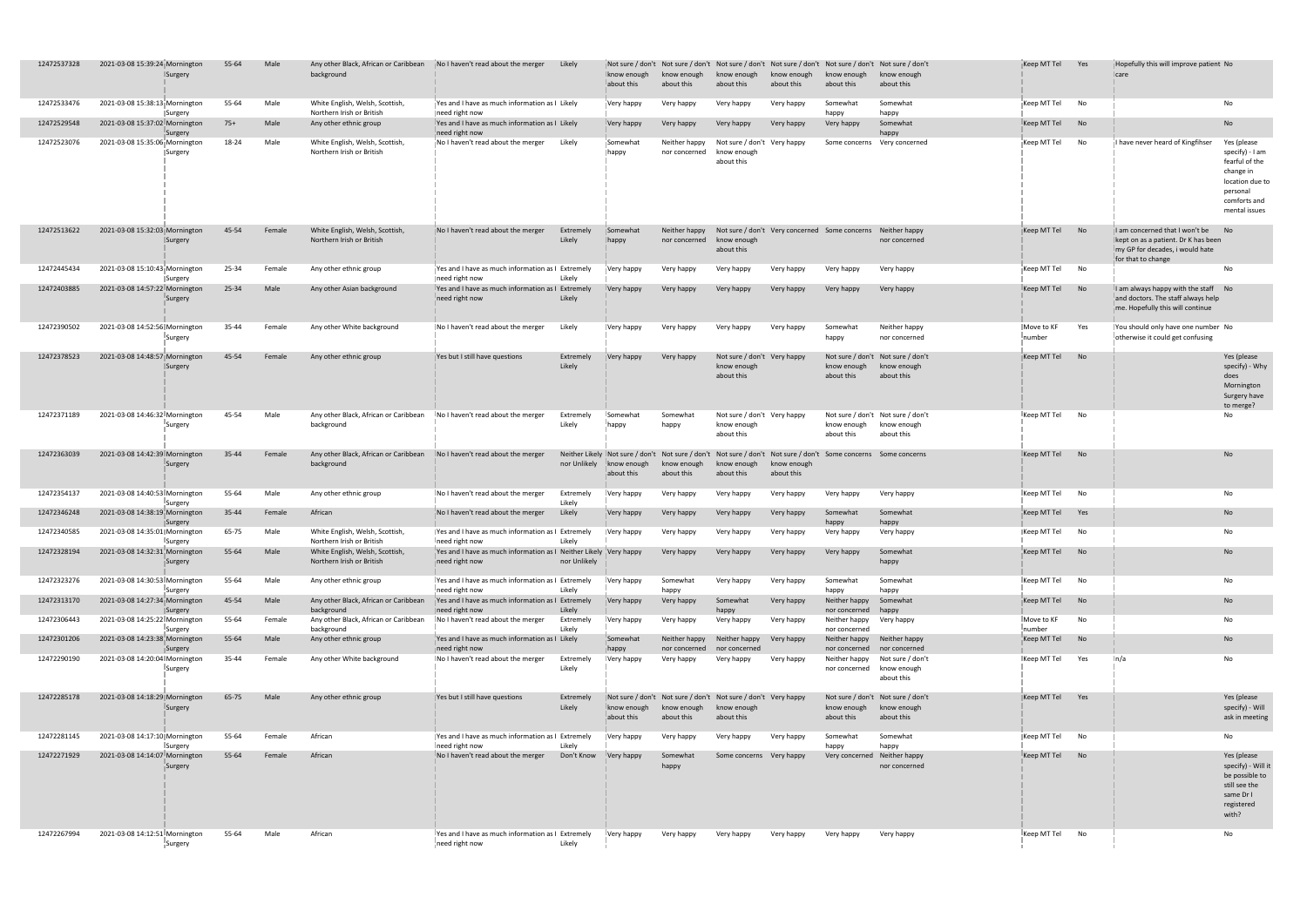| 12472537328 | 2021-03-08 15:39:24 Mornington | <b>Surgery</b>      | 55-64     | Male   | Any other Black, African or Caribbean<br>background          | No I haven't read about the merger                                                  | Likely              | ∥Not sure / don't<br>Iknow enough<br>about this              | Not sure / don't Not sure / don't Not sure / don't<br>know enough<br>about this                             | know enough<br>about this                                | know enough<br>about this | Not sure / don't<br>know enough<br>about this | Not sure / don't<br>know enough<br>about this                  | Keep MT Tel                        | Yes       | Hopefully this will improve patient No<br>$ _{\text{care}}$                                                                      |                                                                                                                     |
|-------------|--------------------------------|---------------------|-----------|--------|--------------------------------------------------------------|-------------------------------------------------------------------------------------|---------------------|--------------------------------------------------------------|-------------------------------------------------------------------------------------------------------------|----------------------------------------------------------|---------------------------|-----------------------------------------------|----------------------------------------------------------------|------------------------------------|-----------|----------------------------------------------------------------------------------------------------------------------------------|---------------------------------------------------------------------------------------------------------------------|
| 12472533476 | 2021-03-08 15:38:13 Mornington | <b>Surgery</b>      | 55-64     | Male   | White English, Welsh, Scottish,<br>Northern Irish or British | Pes and I have as much information as I Likely<br>need right now                    |                     | Very happy                                                   | Very happy                                                                                                  | Very happy                                               | Very happy                | Somewhat<br>happy                             | Somewhat<br>happy                                              | Keep MT Tel                        | No        |                                                                                                                                  | No                                                                                                                  |
| 12472529548 | 2021-03-08 15:37:02 Mornington | Surgery             | $75+$     | Male   | Any other ethnic group                                       | Pres and I have as much information as I Likely<br>need right now                   |                     | Very happy                                                   | Very happy                                                                                                  | Very happy                                               | Very happy                | Very happy                                    | Somewhat<br>happy                                              | $\mathsf{I}$ Keep MT Tel           | No        |                                                                                                                                  | <b>No</b>                                                                                                           |
| 12472523076 | 2021-03-08 15:35:06 Mornington | <b>Surgery</b>      | 18-24     | Male   | White English, Welsh, Scottish,<br>Northern Irish or British | No I haven't read about the merger                                                  | Likely              | <i>i</i> Somewhat<br>$\ $ happy                              | Neither happy<br>nor concerned                                                                              | Not sure / don't Very happy<br>know enough<br>about this |                           | Some concerns                                 | Very concerned                                                 | Keep MT Tel                        | No        | I have never heard of Kingfihser                                                                                                 | Yes (please<br>specify) - Ia<br>fearful of th<br>change in<br>location du<br>personal<br>comforts ar<br>mental issu |
| 12472513622 | 2021-03-08 15:32:03 Mornington | <b>Surgery</b>      | 45-54     | Female | White English, Welsh, Scottish,<br>Northern Irish or British | No I haven't read about the merger                                                  | Extremely<br>Likely | Somewhat<br>$\ $ happy                                       | Neither happy<br>nor concerned                                                                              | know enough<br>about this                                |                           | Not sure / don't Very concerned Some concerns | Neither happy<br>nor concerned                                 | $\overline{\parallel}$ Keep MT Tel | <b>No</b> | I am concerned that I won't be<br>kept on as a patient. Dr K has been<br>I'my GP for decades, i would hate<br>for that to change | No                                                                                                                  |
| 12472445434 | 2021-03-08 15:10:43 Mornington | <b>Surgery</b>      | 25-34     | Female | Any other ethnic group                                       | Yes and I have as much information as I Extremely<br>need right now                 | Likely              | Very happy                                                   | Very happy                                                                                                  | Very happy                                               | Very happy                | Very happy                                    | Very happy                                                     | Keep MT Tel                        | No        |                                                                                                                                  | No                                                                                                                  |
| 12472403885 | 2021-03-08 14:57:22 Mornington | ¦Surgery            | 25-34     | Male   | Any other Asian background                                   | I Yes and I have as much information as I Extremely<br>need right now               | Likely              | Very happy                                                   | Very happy                                                                                                  | Very happy                                               | Very happy                | Very happy                                    | Very happy                                                     | $\mathsf{K}$ eep MT Tel            | <b>No</b> | $\parallel$ am always happy with the staff No<br>and doctors. The staff always help<br>me. Hopefully this will continue          |                                                                                                                     |
| 12472390502 | 2021-03-08 14:52:56 Mornington | ∥Surgery            | 35-44     | Female | Any other White background                                   | No I haven't read about the merger                                                  | Likely              | Very happy                                                   | Very happy                                                                                                  | Very happy                                               | Very happy                | Somewhat<br>happy                             | Neither happy<br>nor concerned                                 | Move to KF<br>‼number              | Yes       | You should only have one number No<br>otherwise it could get confusing                                                           |                                                                                                                     |
| 12472378523 | 2021-03-08 14:48:57 Mornington | <b>ISurgery</b>     | 45-54     | Female | Any other ethnic group                                       | Yes but I still have questions                                                      | Extremely<br>Likely | Very happy Very happy                                        |                                                                                                             | Not sure / don't Very happy<br>know enough<br>about this |                           | know enough<br>about this                     | Not sure / don't Not sure / don't<br>know enough<br>about this | Keep MT Tel                        | No        |                                                                                                                                  | Yes (please<br>specify) - W<br>does<br>Morningtor<br>Surgery hav<br>to merge?                                       |
| 12472371189 | 2021-03-08 14:46:32 Mornington | ¦Surgery            | 45-54     | Male   | Any other Black, African or Caribbean<br>background          | No I haven't read about the merger                                                  | Extremely<br>Likely | <b>Somewhat</b><br>happy                                     | Somewhat<br>happy                                                                                           | Not sure / don't Very happy<br>know enough<br>about this |                           | know enough<br>about this                     | Not sure / don't Not sure / don't<br>know enough<br>about this | $\frac{1}{2}$ Keep MT Tel No       |           |                                                                                                                                  | No                                                                                                                  |
| 12472363039 | 2021-03-08 14:42:39 Mornington | ¦Surgery            | $35 - 44$ | Female | Any other Black, African or Caribbean<br>background          | No I haven't read about the merger                                                  | nor Unlikely        | Neither Likely Not sure / don't<br>know enough<br>about this | Not sure / don't Not sure / don't Not sure / don't Some concerns Some concerns<br>know enough<br>about this | know enough<br>about this                                | know enough<br>about this |                                               |                                                                | $\frac{1}{2}$ Keep MT Tel No       |           |                                                                                                                                  | No.                                                                                                                 |
| 12472354137 | 2021-03-08 14:40:53 Mornington | <b>Surgery</b>      | 55-64     | Male   | Any other ethnic group                                       | No I haven't read about the merger                                                  | Extremely<br>Likely | <b>Very happy</b>                                            | Very happy                                                                                                  | Very happy                                               | Very happy                | Very happy                                    | Very happy                                                     | Keep MT Tel                        | No        |                                                                                                                                  | No.                                                                                                                 |
| 12472346248 | 2021-03-08 14:38:19 Mornington | ∥Surgery            | 35-44     | Female | African                                                      | No I haven't read about the merger                                                  | Likely              | Very happy                                                   | Very happy                                                                                                  | Very happy                                               | Very happy                | Somewhat<br>happy                             | Somewhat<br>happy                                              | $\frac{1}{2}$ Keep MT Tel Yes      |           |                                                                                                                                  | <b>No</b>                                                                                                           |
| 12472340585 | 2021-03-08 14:35:01 Mornington | <b>Surgery</b>      | 65-75     | Male   | White English, Welsh, Scottish,<br>Northern Irish or British | Yes and I have as much information as I Extremely<br>need right now                 | Likely              | Very happy                                                   | Very happy                                                                                                  | Very happy                                               | Very happy                | Very happy                                    | Very happy                                                     | Keep MT Tel No                     |           |                                                                                                                                  | No                                                                                                                  |
| 12472328194 | 2021-03-08 14:32:31 Mornington | ⊺Surgery            | 55-64     | Male   | White English, Welsh, Scottish,<br>Northern Irish or British | Yes and I have as much information as I Neither Likely Very happy<br>need right now | nor Unlikely        |                                                              | Very happy                                                                                                  | Very happy                                               | Very happy                | Very happy                                    | Somewhat<br>happy                                              | $\frac{1}{2}$ Keep MT Tel No       |           |                                                                                                                                  | <b>No</b>                                                                                                           |
| 12472323276 | 2021-03-08 14:30:53 Mornington | ¦Surgery            | 55-64     | Male   | Any other ethnic group                                       | IYes and I have as much information as I Extremely<br>need right now                | Likely              | Very happy                                                   | Somewhat<br>happy                                                                                           | Very happy                                               | Very happy                | Somewhat<br>happy                             | Somewhat<br>happy                                              | $\sf I$ Keep MT Tel                | No        |                                                                                                                                  | No                                                                                                                  |
| 12472313170 | 2021-03-08 14:27:34 Mornington | <b>Surgery</b>      | 45-54     | Male   | Any other Black, African or Caribbean<br>background          | Yes and I have as much information as I Extremely<br>need right now                 | Likely              | Very happy                                                   | Very happy                                                                                                  | Somewhat<br>happy                                        | Very happy                | Neither happy<br>nor concerned                | Somewhat<br>happy                                              | Keep MT Tel No                     |           |                                                                                                                                  | <b>No</b>                                                                                                           |
| 12472306443 | 2021-03-08 14:25:22 Mornington | <b>Surgery</b>      | 55-64     | Female | Any other Black, African or Caribbean<br>background          | INo I haven't read about the merger                                                 | Extremely<br>Likely | Very happy                                                   | Very happy                                                                                                  | Very happy                                               | Very happy                | Neither happy<br>nor concerned                | Very happy                                                     | Move to KF<br>!number              | No        |                                                                                                                                  | No                                                                                                                  |
| 12472301206 | 2021-03-08 14:23:38 Mornington | <b>∥Surgery</b>     | 55-64     | Male   | Any other ethnic group                                       | Yes and I have as much information as I Likely<br>need right now                    |                     | Somewhat<br>$\parallel$ happy                                | Neither happy<br>nor concerned                                                                              | Neither happy<br>nor concerned                           | Very happy                | Neither happy<br>nor concerned                | Neither happy<br>nor concerned                                 | $\frac{1}{2}$ Keep MT Tel No       |           |                                                                                                                                  | <b>No</b>                                                                                                           |
| 12472290190 | 2021-03-08 14:20:04 Mornington | <b>Surgery</b>      | 35-44     | Female | Any other White background                                   | No I haven't read about the merger                                                  | Extremely<br>Likely | Very happy                                                   | Very happy                                                                                                  | Very happy                                               | Very happy                | Neither happy<br>nor concerned know enough    | Not sure / don't<br>about this                                 | Keep MT Tel                        | Yes       | ∥n/a                                                                                                                             | No.                                                                                                                 |
| 12472285178 | 2021-03-08 14:18:29 Mornington | <b>Surgery</b>      | 65-75     | Male   | Any other ethnic group                                       | Yes but I still have questions                                                      | Extremely<br>Likely | Iknow enough<br>about this                                   | Not sure / don't Not sure / don't Not sure / don't Very happy<br>know enough<br>about this                  | know enough<br>about this                                |                           | know enough<br>about this                     | Not sure / don't Not sure / don't<br>know enough<br>about this | Keep MT Tel                        | Yes       |                                                                                                                                  | Yes (please<br>specify) - W<br>ask in meet                                                                          |
| 12472281145 | 2021-03-08 14:17:10 Mornington | <b>I</b> Surgery    | 55-64     | Female | African                                                      | Yes and I have as much information as I Extremely<br>Ineed right now                | Likely              | Very happy                                                   | Very happy                                                                                                  | Very happy                                               | Very happy                | Somewhat<br>happy                             | Somewhat<br>happy                                              | Keep MT Tel No                     |           |                                                                                                                                  | No                                                                                                                  |
| 12472271929 | 2021-03-08 14:14:07 Mornington | ¦Surgery            | 55-64     | Female | African                                                      | No I haven't read about the merger                                                  | Don't Know          | $\sqrt{\phantom{a}}$ Very happy                              | Somewhat<br>happy                                                                                           | Some concerns Very happy                                 |                           |                                               | Very concerned Neither happy<br>nor concerned                  | $\frac{1}{2}$ Keep MT Tel No       |           |                                                                                                                                  | Yes (please<br>specify) - W<br>be possible<br>still see the<br>same Dr I<br>registered<br>with?                     |
| 12472267994 | 2021-03-08 14:12:51 Mornington | $\sqrt{\ }$ Surgery | 55-64     | Male   | African                                                      | IYes and I have as much information as I Extremely<br>need right now                | Likely              | Very happy                                                   | Very happy                                                                                                  | Very happy                                               | Very happy                | Very happy                                    | Very happy                                                     | $\mathsf{K}$ eep MT Tel            | No        |                                                                                                                                  | No                                                                                                                  |

#### specify) - I am fearful of the change in location due to personal comforts and mental issues No No No Yes (please specify) - Why does Mornington Surgery have to merge? specify) - Will ask in meeting Yes (please specify) - Will it be possible to still see the same Dr I registered with?